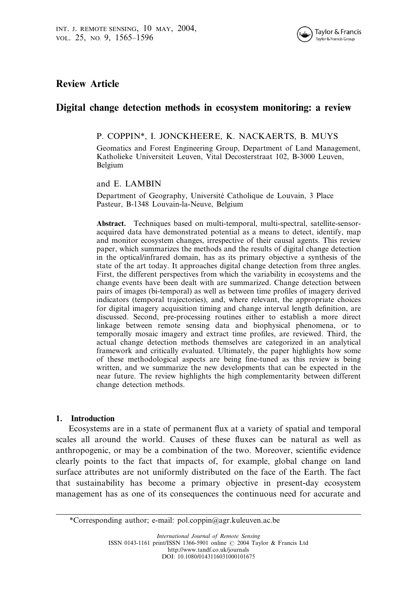

# Review Article

# Digital change detection methods in ecosystem monitoring: a review

P. COPPIN\*, I. JONCKHEERE, K. NACKAERTS, B. MUYS

Geomatics and Forest Engineering Group, Department of Land Management, Katholieke Universiteit Leuven, Vital Decosterstraat 102, B-3000 Leuven, Belgium

and E. LAMBIN

Department of Geography, Université Catholique de Louvain, 3 Place Pasteur, B-1348 Louvain-la-Neuve, Belgium

Abstract. Techniques based on multi-temporal, multi-spectral, satellite-sensoracquired data have demonstrated potential as a means to detect, identify, map and monitor ecosystem changes, irrespective of their causal agents. This review paper, which summarizes the methods and the results of digital change detection in the optical/infrared domain, has as its primary objective a synthesis of the state of the art today. It approaches digital change detection from three angles. First, the different perspectives from which the variability in ecosystems and the change events have been dealt with are summarized. Change detection between pairs of images (bi-temporal) as well as between time profiles of imagery derived indicators (temporal trajectories), and, where relevant, the appropriate choices for digital imagery acquisition timing and change interval length definition, are discussed. Second, pre-processing routines either to establish a more direct linkage between remote sensing data and biophysical phenomena, or to temporally mosaic imagery and extract time profiles, are reviewed. Third, the actual change detection methods themselves are categorized in an analytical framework and critically evaluated. Ultimately, the paper highlights how some of these methodological aspects are being fine-tuned as this review is being written, and we summarize the new developments that can be expected in the near future. The review highlights the high complementarity between different change detection methods.

# 1. Introduction

Ecosystems are in a state of permanent flux at a variety of spatial and temporal scales all around the world. Causes of these fluxes can be natural as well as anthropogenic, or may be a combination of the two. Moreover, scientific evidence clearly points to the fact that impacts of, for example, global change on land surface attributes are not uniformly distributed on the face of the Earth. The fact that sustainability has become a primary objective in present-day ecosystem management has as one of its consequences the continuous need for accurate and

\*Corresponding author; e-mail: pol.coppin@agr.kuleuven.ac.be

International Journal of Remote Sensing ISSN 0143-1161 print/ISSN 1366-5901 online © 2004 Taylor & Francis Ltd http://www.tandf.co.uk/journals DOI: 10.1080/0143116031000101675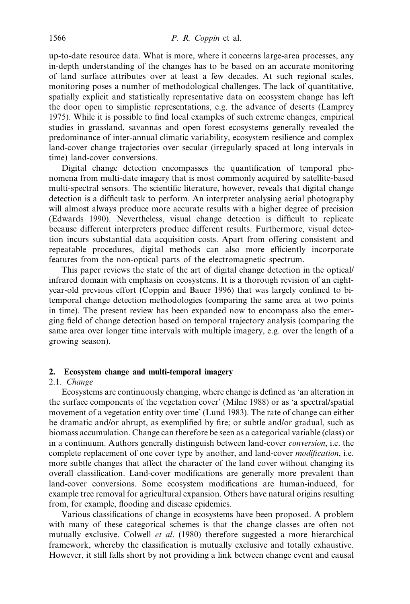up-to-date resource data. What is more, where it concerns large-area processes, any in-depth understanding of the changes has to be based on an accurate monitoring of land surface attributes over at least a few decades. At such regional scales, monitoring poses a number of methodological challenges. The lack of quantitative, spatially explicit and statistically representative data on ecosystem change has left the door open to simplistic representations, e.g. the advance of deserts (Lamprey 1975). While it is possible to find local examples of such extreme changes, empirical studies in grassland, savannas and open forest ecosystems generally revealed the predominance of inter-annual climatic variability, ecosystem resilience and complex land-cover change trajectories over secular (irregularly spaced at long intervals in time) land-cover conversions.

Digital change detection encompasses the quantification of temporal phenomena from multi-date imagery that is most commonly acquired by satellite-based multi-spectral sensors. The scientific literature, however, reveals that digital change detection is a difficult task to perform. An interpreter analysing aerial photography will almost always produce more accurate results with a higher degree of precision (Edwards 1990). Nevertheless, visual change detection is difficult to replicate because different interpreters produce different results. Furthermore, visual detection incurs substantial data acquisition costs. Apart from offering consistent and repeatable procedures, digital methods can also more efficiently incorporate features from the non-optical parts of the electromagnetic spectrum.

This paper reviews the state of the art of digital change detection in the optical/ infrared domain with emphasis on ecosystems. It is a thorough revision of an eightyear-old previous effort (Coppin and Bauer 1996) that was largely confined to bitemporal change detection methodologies (comparing the same area at two points in time). The present review has been expanded now to encompass also the emerging field of change detection based on temporal trajectory analysis (comparing the same area over longer time intervals with multiple imagery, e.g. over the length of a growing season).

# 2. Ecosystem change and multi-temporal imagery

#### 2.1. Change

Ecosystems are continuously changing, where change is defined as 'an alteration in the surface components of the vegetation cover' (Milne 1988) or as 'a spectral/spatial movement of a vegetation entity over time' (Lund 1983). The rate of change can either be dramatic and/or abrupt, as exemplified by fire; or subtle and/or gradual, such as biomass accumulation. Change can therefore be seen as a categorical variable (class) or in a continuum. Authors generally distinguish between land-cover *conversion*, i.e. the complete replacement of one cover type by another, and land-cover modification, i.e. more subtle changes that affect the character of the land cover without changing its overall classification. Land-cover modifications are generally more prevalent than land-cover conversions. Some ecosystem modifications are human-induced, for example tree removal for agricultural expansion. Others have natural origins resulting from, for example, flooding and disease epidemics.

Various classifications of change in ecosystems have been proposed. A problem with many of these categorical schemes is that the change classes are often not mutually exclusive. Colwell et al. (1980) therefore suggested a more hierarchical framework, whereby the classification is mutually exclusive and totally exhaustive. However, it still falls short by not providing a link between change event and causal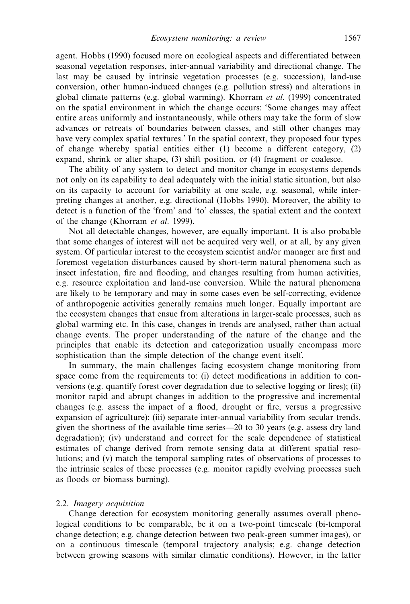agent. Hobbs (1990) focused more on ecological aspects and differentiated between seasonal vegetation responses, inter-annual variability and directional change. The last may be caused by intrinsic vegetation processes (e.g. succession), land-use conversion, other human-induced changes (e.g. pollution stress) and alterations in global climate patterns (e.g. global warming). Khorram et al. (1999) concentrated on the spatial environment in which the change occurs: 'Some changes may affect entire areas uniformly and instantaneously, while others may take the form of slow advances or retreats of boundaries between classes, and still other changes may have very complex spatial textures.' In the spatial context, they proposed four types of change whereby spatial entities either (1) become a different category, (2) expand, shrink or alter shape, (3) shift position, or (4) fragment or coalesce.

The ability of any system to detect and monitor change in ecosystems depends not only on its capability to deal adequately with the initial static situation, but also on its capacity to account for variability at one scale, e.g. seasonal, while interpreting changes at another, e.g. directional (Hobbs 1990). Moreover, the ability to detect is a function of the 'from' and 'to' classes, the spatial extent and the context of the change (Khorram et al. 1999).

Not all detectable changes, however, are equally important. It is also probable that some changes of interest will not be acquired very well, or at all, by any given system. Of particular interest to the ecosystem scientist and/or manager are first and foremost vegetation disturbances caused by short-term natural phenomena such as insect infestation, fire and flooding, and changes resulting from human activities, e.g. resource exploitation and land-use conversion. While the natural phenomena are likely to be temporary and may in some cases even be self-correcting, evidence of anthropogenic activities generally remains much longer. Equally important are the ecosystem changes that ensue from alterations in larger-scale processes, such as global warming etc. In this case, changes in trends are analysed, rather than actual change events. The proper understanding of the nature of the change and the principles that enable its detection and categorization usually encompass more sophistication than the simple detection of the change event itself.

In summary, the main challenges facing ecosystem change monitoring from space come from the requirements to: (i) detect modifications in addition to conversions (e.g. quantify forest cover degradation due to selective logging or fires); (ii) monitor rapid and abrupt changes in addition to the progressive and incremental changes (e.g. assess the impact of a flood, drought or fire, versus a progressive expansion of agriculture); (iii) separate inter-annual variability from secular trends, given the shortness of the available time series—20 to 30 years (e.g. assess dry land degradation); (iv) understand and correct for the scale dependence of statistical estimates of change derived from remote sensing data at different spatial resolutions; and (v) match the temporal sampling rates of observations of processes to the intrinsic scales of these processes (e.g. monitor rapidly evolving processes such as floods or biomass burning).

# 2.2. Imagery acquisition

Change detection for ecosystem monitoring generally assumes overall phenological conditions to be comparable, be it on a two-point timescale (bi-temporal change detection; e.g. change detection between two peak-green summer images), or on a continuous timescale (temporal trajectory analysis; e.g. change detection between growing seasons with similar climatic conditions). However, in the latter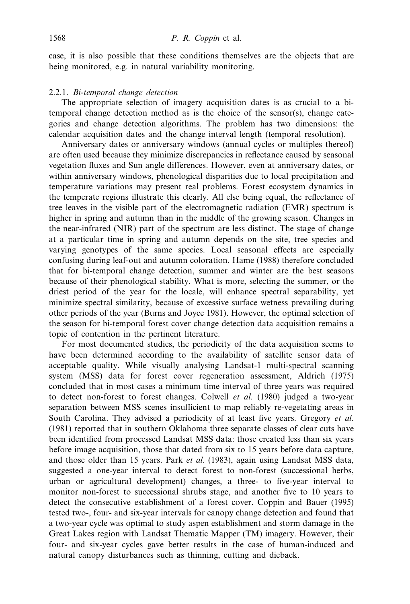case, it is also possible that these conditions themselves are the objects that are being monitored, e.g. in natural variability monitoring.

# 2.2.1. Bi-temporal change detection

The appropriate selection of imagery acquisition dates is as crucial to a bitemporal change detection method as is the choice of the sensor(s), change categories and change detection algorithms. The problem has two dimensions: the calendar acquisition dates and the change interval length (temporal resolution).

Anniversary dates or anniversary windows (annual cycles or multiples thereof) are often used because they minimize discrepancies in reflectance caused by seasonal vegetation fluxes and Sun angle differences. However, even at anniversary dates, or within anniversary windows, phenological disparities due to local precipitation and temperature variations may present real problems. Forest ecosystem dynamics in the temperate regions illustrate this clearly. All else being equal, the reflectance of tree leaves in the visible part of the electromagnetic radiation (EMR) spectrum is higher in spring and autumn than in the middle of the growing season. Changes in the near-infrared (NIR) part of the spectrum are less distinct. The stage of change at a particular time in spring and autumn depends on the site, tree species and varying genotypes of the same species. Local seasonal effects are especially confusing during leaf-out and autumn coloration. Hame (1988) therefore concluded that for bi-temporal change detection, summer and winter are the best seasons because of their phenological stability. What is more, selecting the summer, or the driest period of the year for the locale, will enhance spectral separability, yet minimize spectral similarity, because of excessive surface wetness prevailing during other periods of the year (Burns and Joyce 1981). However, the optimal selection of the season for bi-temporal forest cover change detection data acquisition remains a topic of contention in the pertinent literature.

For most documented studies, the periodicity of the data acquisition seems to have been determined according to the availability of satellite sensor data of acceptable quality. While visually analysing Landsat-1 multi-spectral scanning system (MSS) data for forest cover regeneration assessment, Aldrich (1975) concluded that in most cases a minimum time interval of three years was required to detect non-forest to forest changes. Colwell *et al.* (1980) judged a two-year separation between MSS scenes insufficient to map reliably re-vegetating areas in South Carolina. They advised a periodicity of at least five years. Gregory et al. (1981) reported that in southern Oklahoma three separate classes of clear cuts have been identified from processed Landsat MSS data: those created less than six years before image acquisition, those that dated from six to 15 years before data capture, and those older than 15 years. Park *et al.* (1983), again using Landsat MSS data, suggested a one-year interval to detect forest to non-forest (successional herbs, urban or agricultural development) changes, a three- to five-year interval to monitor non-forest to successional shrubs stage, and another five to 10 years to detect the consecutive establishment of a forest cover. Coppin and Bauer (1995) tested two-, four- and six-year intervals for canopy change detection and found that a two-year cycle was optimal to study aspen establishment and storm damage in the Great Lakes region with Landsat Thematic Mapper (TM) imagery. However, their four- and six-year cycles gave better results in the case of human-induced and natural canopy disturbances such as thinning, cutting and dieback.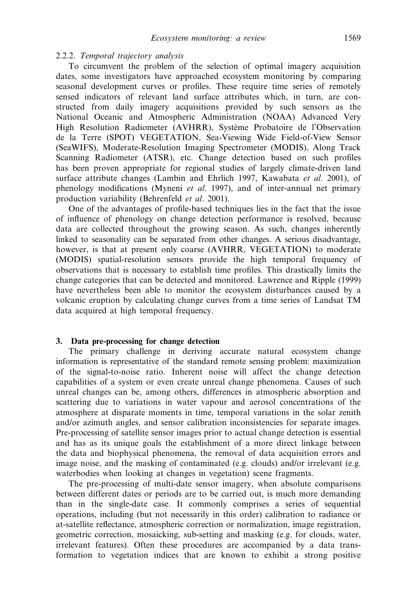# 2.2.2. Temporal trajectory analysis

To circumvent the problem of the selection of optimal imagery acquisition dates, some investigators have approached ecosystem monitoring by comparing seasonal development curves or profiles. These require time series of remotely sensed indicators of relevant land surface attributes which, in turn, are constructed from daily imagery acquisitions provided by such sensors as the National Oceanic and Atmospheric Administration (NOAA) Advanced Very High Resolution Radiometer (AVHRR), Système Probatoire de l'Observation de la Terre (SPOT) VEGETATION, Sea-Viewing Wide Field-of-View Sensor (SeaWIFS), Moderate-Resolution Imaging Spectrometer (MODIS), Along Track Scanning Radiometer (ATSR), etc. Change detection based on such profiles has been proven appropriate for regional studies of largely climate-driven land surface attribute changes (Lambin and Ehrlich 1997, Kawabata et al. 2001), of phenology modifications (Myneni et al. 1997), and of inter-annual net primary production variability (Behrenfeld et al. 2001).

One of the advantages of profile-based techniques lies in the fact that the issue of influence of phenology on change detection performance is resolved, because data are collected throughout the growing season. As such, changes inherently linked to seasonality can be separated from other changes. A serious disadvantage, however, is that at present only coarse (AVHRR, VEGETATION) to moderate (MODIS) spatial-resolution sensors provide the high temporal frequency of observations that is necessary to establish time profiles. This drastically limits the change categories that can be detected and monitored. Lawrence and Ripple (1999) have nevertheless been able to monitor the ecosystem disturbances caused by a volcanic eruption by calculating change curves from a time series of Landsat TM data acquired at high temporal frequency.

# 3. Data pre-processing for change detection

The primary challenge in deriving accurate natural ecosystem change information is representative of the standard remote sensing problem: maximization of the signal-to-noise ratio. Inherent noise will affect the change detection capabilities of a system or even create unreal change phenomena. Causes of such unreal changes can be, among others, differences in atmospheric absorption and scattering due to variations in water vapour and aerosol concentrations of the atmosphere at disparate moments in time, temporal variations in the solar zenith and/or azimuth angles, and sensor calibration inconsistencies for separate images. Pre-processing of satellite sensor images prior to actual change detection is essential and has as its unique goals the establishment of a more direct linkage between the data and biophysical phenomena, the removal of data acquisition errors and image noise, and the masking of contaminated (e.g. clouds) and/or irrelevant (e.g. waterbodies when looking at changes in vegetation) scene fragments.

The pre-processing of multi-date sensor imagery, when absolute comparisons between different dates or periods are to be carried out, is much more demanding than in the single-date case. It commonly comprises a series of sequential operations, including (but not necessarily in this order) calibration to radiance or at-satellite reflectance, atmospheric correction or normalization, image registration, geometric correction, mosaicking, sub-setting and masking (e.g. for clouds, water, irrelevant features). Often these procedures are accompanied by a data transformation to vegetation indices that are known to exhibit a strong positive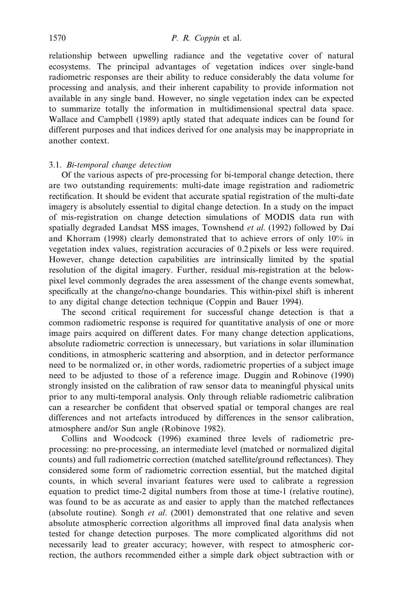relationship between upwelling radiance and the vegetative cover of natural ecosystems. The principal advantages of vegetation indices over single-band radiometric responses are their ability to reduce considerably the data volume for processing and analysis, and their inherent capability to provide information not available in any single band. However, no single vegetation index can be expected to summarize totally the information in multidimensional spectral data space. Wallace and Campbell (1989) aptly stated that adequate indices can be found for different purposes and that indices derived for one analysis may be inappropriate in another context.

### 3.1. Bi-temporal change detection

Of the various aspects of pre-processing for bi-temporal change detection, there are two outstanding requirements: multi-date image registration and radiometric rectification. It should be evident that accurate spatial registration of the multi-date imagery is absolutely essential to digital change detection. In a study on the impact of mis-registration on change detection simulations of MODIS data run with spatially degraded Landsat MSS images, Townshend et al. (1992) followed by Dai and Khorram (1998) clearly demonstrated that to achieve errors of only 10% in vegetation index values, registration accuracies of 0.2 pixels or less were required. However, change detection capabilities are intrinsically limited by the spatial resolution of the digital imagery. Further, residual mis-registration at the belowpixel level commonly degrades the area assessment of the change events somewhat, specifically at the change/no-change boundaries. This within-pixel shift is inherent to any digital change detection technique (Coppin and Bauer 1994).

The second critical requirement for successful change detection is that a common radiometric response is required for quantitative analysis of one or more image pairs acquired on different dates. For many change detection applications, absolute radiometric correction is unnecessary, but variations in solar illumination conditions, in atmospheric scattering and absorption, and in detector performance need to be normalized or, in other words, radiometric properties of a subject image need to be adjusted to those of a reference image. Duggin and Robinove (1990) strongly insisted on the calibration of raw sensor data to meaningful physical units prior to any multi-temporal analysis. Only through reliable radiometric calibration can a researcher be confident that observed spatial or temporal changes are real differences and not artefacts introduced by differences in the sensor calibration, atmosphere and/or Sun angle (Robinove 1982).

Collins and Woodcock (1996) examined three levels of radiometric preprocessing: no pre-processing, an intermediate level (matched or normalized digital counts) and full radiometric correction (matched satellite/ground reflectances). They considered some form of radiometric correction essential, but the matched digital counts, in which several invariant features were used to calibrate a regression equation to predict time-2 digital numbers from those at time-1 (relative routine), was found to be as accurate as and easier to apply than the matched reflectances (absolute routine). Songh et al. (2001) demonstrated that one relative and seven absolute atmospheric correction algorithms all improved final data analysis when tested for change detection purposes. The more complicated algorithms did not necessarily lead to greater accuracy; however, with respect to atmospheric correction, the authors recommended either a simple dark object subtraction with or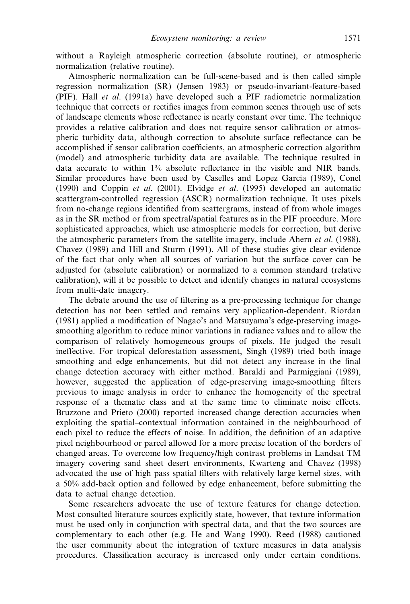without a Rayleigh atmospheric correction (absolute routine), or atmospheric normalization (relative routine).

Atmospheric normalization can be full-scene-based and is then called simple regression normalization (SR) (Jensen 1983) or pseudo-invariant-feature-based (PIF). Hall et al. (1991a) have developed such a PIF radiometric normalization technique that corrects or rectifies images from common scenes through use of sets of landscape elements whose reflectance is nearly constant over time. The technique provides a relative calibration and does not require sensor calibration or atmospheric turbidity data, although correction to absolute surface reflectance can be accomplished if sensor calibration coefficients, an atmospheric correction algorithm (model) and atmospheric turbidity data are available. The technique resulted in data accurate to within 1% absolute reflectance in the visible and NIR bands. Similar procedures have been used by Caselles and Lopez Garcia (1989), Conel (1990) and Coppin et al. (2001). Elvidge et al. (1995) developed an automatic scattergram-controlled regression (ASCR) normalization technique. It uses pixels from no-change regions identified from scattergrams, instead of from whole images as in the SR method or from spectral/spatial features as in the PIF procedure. More sophisticated approaches, which use atmospheric models for correction, but derive the atmospheric parameters from the satellite imagery, include Ahern *et al.* (1988), Chavez (1989) and Hill and Sturm (1991). All of these studies give clear evidence of the fact that only when all sources of variation but the surface cover can be adjusted for (absolute calibration) or normalized to a common standard (relative calibration), will it be possible to detect and identify changes in natural ecosystems from multi-date imagery.

The debate around the use of filtering as a pre-processing technique for change detection has not been settled and remains very application-dependent. Riordan (1981) applied a modification of Nagao's and Matsuyama's edge-preserving imagesmoothing algorithm to reduce minor variations in radiance values and to allow the comparison of relatively homogeneous groups of pixels. He judged the result ineffective. For tropical deforestation assessment, Singh (1989) tried both image smoothing and edge enhancements, but did not detect any increase in the final change detection accuracy with either method. Baraldi and Parmiggiani (1989), however, suggested the application of edge-preserving image-smoothing filters previous to image analysis in order to enhance the homogeneity of the spectral response of a thematic class and at the same time to eliminate noise effects. Bruzzone and Prieto (2000) reported increased change detection accuracies when exploiting the spatial–contextual information contained in the neighbourhood of each pixel to reduce the effects of noise. In addition, the definition of an adaptive pixel neighbourhood or parcel allowed for a more precise location of the borders of changed areas. To overcome low frequency/high contrast problems in Landsat TM imagery covering sand sheet desert environments, Kwarteng and Chavez (1998) advocated the use of high pass spatial filters with relatively large kernel sizes, with a 50% add-back option and followed by edge enhancement, before submitting the data to actual change detection.

Some researchers advocate the use of texture features for change detection. Most consulted literature sources explicitly state, however, that texture information must be used only in conjunction with spectral data, and that the two sources are complementary to each other (e.g. He and Wang 1990). Reed (1988) cautioned the user community about the integration of texture measures in data analysis procedures. Classification accuracy is increased only under certain conditions.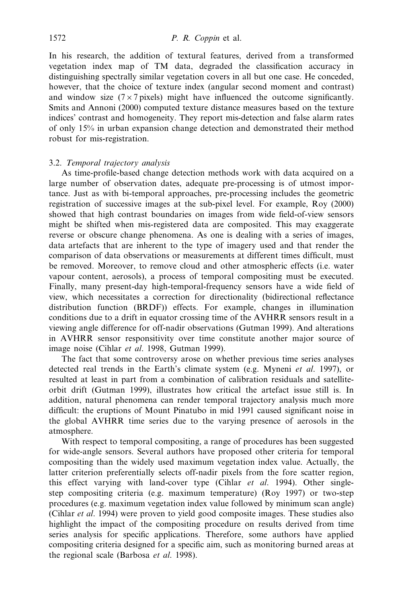In his research, the addition of textural features, derived from a transformed vegetation index map of TM data, degraded the classification accuracy in distinguishing spectrally similar vegetation covers in all but one case. He conceded, however, that the choice of texture index (angular second moment and contrast) and window size  $(7 \times 7$  pixels) might have influenced the outcome significantly. Smits and Annoni (2000) computed texture distance measures based on the texture indices' contrast and homogeneity. They report mis-detection and false alarm rates of only 15% in urban expansion change detection and demonstrated their method robust for mis-registration.

# 3.2. Temporal trajectory analysis

As time-profile-based change detection methods work with data acquired on a large number of observation dates, adequate pre-processing is of utmost importance. Just as with bi-temporal approaches, pre-processing includes the geometric registration of successive images at the sub-pixel level. For example, Roy (2000) showed that high contrast boundaries on images from wide field-of-view sensors might be shifted when mis-registered data are composited. This may exaggerate reverse or obscure change phenomena. As one is dealing with a series of images, data artefacts that are inherent to the type of imagery used and that render the comparison of data observations or measurements at different times difficult, must be removed. Moreover, to remove cloud and other atmospheric effects (i.e. water vapour content, aerosols), a process of temporal compositing must be executed. Finally, many present-day high-temporal-frequency sensors have a wide field of view, which necessitates a correction for directionality (bidirectional reflectance distribution function (BRDF)) effects. For example, changes in illumination conditions due to a drift in equator crossing time of the AVHRR sensors result in a viewing angle difference for off-nadir observations (Gutman 1999). And alterations in AVHRR sensor responsitivity over time constitute another major source of image noise (Cihlar et al. 1998, Gutman 1999).

The fact that some controversy arose on whether previous time series analyses detected real trends in the Earth's climate system (e.g. Myneni et al. 1997), or resulted at least in part from a combination of calibration residuals and satelliteorbit drift (Gutman 1999), illustrates how critical the artefact issue still is. In addition, natural phenomena can render temporal trajectory analysis much more difficult: the eruptions of Mount Pinatubo in mid 1991 caused significant noise in the global AVHRR time series due to the varying presence of aerosols in the atmosphere.

With respect to temporal compositing, a range of procedures has been suggested for wide-angle sensors. Several authors have proposed other criteria for temporal compositing than the widely used maximum vegetation index value. Actually, the latter criterion preferentially selects off-nadir pixels from the fore scatter region, this effect varying with land-cover type (Cihlar et al. 1994). Other singlestep compositing criteria (e.g. maximum temperature) (Roy 1997) or two-step procedures (e.g. maximum vegetation index value followed by minimum scan angle) (Cihlar et al. 1994) were proven to yield good composite images. These studies also highlight the impact of the compositing procedure on results derived from time series analysis for specific applications. Therefore, some authors have applied compositing criteria designed for a specific aim, such as monitoring burned areas at the regional scale (Barbosa et al. 1998).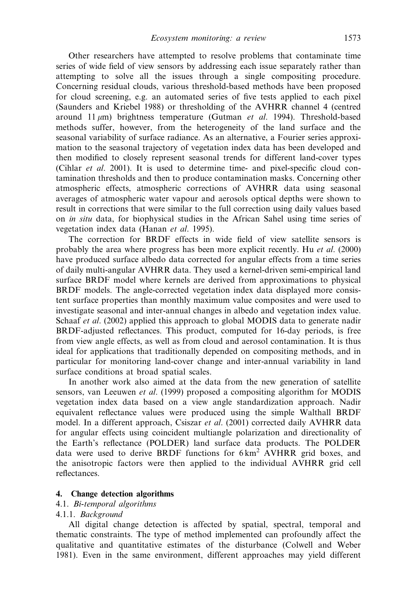Other researchers have attempted to resolve problems that contaminate time series of wide field of view sensors by addressing each issue separately rather than attempting to solve all the issues through a single compositing procedure. Concerning residual clouds, various threshold-based methods have been proposed for cloud screening, e.g. an automated series of five tests applied to each pixel (Saunders and Kriebel 1988) or thresholding of the AVHRR channel 4 (centred around  $11 \mu m$ ) brightness temperature (Gutman *et al.* 1994). Threshold-based methods suffer, however, from the heterogeneity of the land surface and the seasonal variability of surface radiance. As an alternative, a Fourier series approximation to the seasonal trajectory of vegetation index data has been developed and then modified to closely represent seasonal trends for different land-cover types (Cihlar et al. 2001). It is used to determine time- and pixel-specific cloud contamination thresholds and then to produce contamination masks. Concerning other atmospheric effects, atmospheric corrections of AVHRR data using seasonal averages of atmospheric water vapour and aerosols optical depths were shown to result in corrections that were similar to the full correction using daily values based on in situ data, for biophysical studies in the African Sahel using time series of vegetation index data (Hanan et al. 1995).

The correction for BRDF effects in wide field of view satellite sensors is probably the area where progress has been more explicit recently. Hu *et al.* (2000) have produced surface albedo data corrected for angular effects from a time series of daily multi-angular AVHRR data. They used a kernel-driven semi-empirical land surface BRDF model where kernels are derived from approximations to physical BRDF models. The angle-corrected vegetation index data displayed more consistent surface properties than monthly maximum value composites and were used to investigate seasonal and inter-annual changes in albedo and vegetation index value. Schaaf et al. (2002) applied this approach to global MODIS data to generate nadir BRDF-adjusted reflectances. This product, computed for 16-day periods, is free from view angle effects, as well as from cloud and aerosol contamination. It is thus ideal for applications that traditionally depended on compositing methods, and in particular for monitoring land-cover change and inter-annual variability in land surface conditions at broad spatial scales.

In another work also aimed at the data from the new generation of satellite sensors, van Leeuwen et al. (1999) proposed a compositing algorithm for MODIS vegetation index data based on a view angle standardization approach. Nadir equivalent reflectance values were produced using the simple Walthall BRDF model. In a different approach, Csiszar et al. (2001) corrected daily AVHRR data for angular effects using coincident multiangle polarization and directionality of the Earth's reflectance (POLDER) land surface data products. The POLDER data were used to derive BRDF functions for  $6 \text{ km}^2$  AVHRR grid boxes, and the anisotropic factors were then applied to the individual AVHRR grid cell reflectances.

### 4. Change detection algorithms

#### 4.1. Bi-temporal algorithms

# 4.1.1. Background

All digital change detection is affected by spatial, spectral, temporal and thematic constraints. The type of method implemented can profoundly affect the qualitative and quantitative estimates of the disturbance (Colwell and Weber 1981). Even in the same environment, different approaches may yield different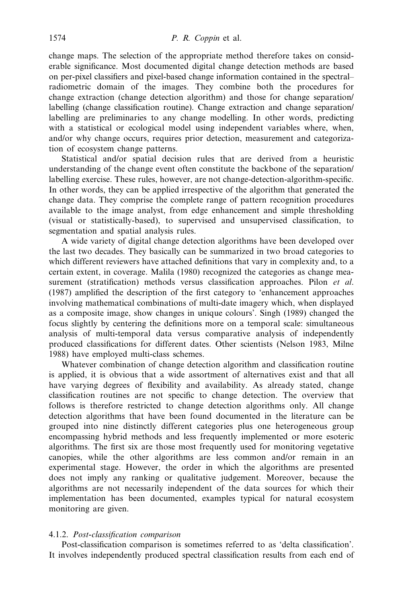change maps. The selection of the appropriate method therefore takes on considerable significance. Most documented digital change detection methods are based on per-pixel classifiers and pixel-based change information contained in the spectral– radiometric domain of the images. They combine both the procedures for change extraction (change detection algorithm) and those for change separation/ labelling (change classification routine). Change extraction and change separation/ labelling are preliminaries to any change modelling. In other words, predicting with a statistical or ecological model using independent variables where, when, and/or why change occurs, requires prior detection, measurement and categorization of ecosystem change patterns.

Statistical and/or spatial decision rules that are derived from a heuristic understanding of the change event often constitute the backbone of the separation/ labelling exercise. These rules, however, are not change-detection-algorithm-specific. In other words, they can be applied irrespective of the algorithm that generated the change data. They comprise the complete range of pattern recognition procedures available to the image analyst, from edge enhancement and simple thresholding (visual or statistically-based), to supervised and unsupervised classification, to segmentation and spatial analysis rules.

A wide variety of digital change detection algorithms have been developed over the last two decades. They basically can be summarized in two broad categories to which different reviewers have attached definitions that vary in complexity and, to a certain extent, in coverage. Malila (1980) recognized the categories as change measurement (stratification) methods versus classification approaches. Pilon et al. (1987) amplified the description of the first category to 'enhancement approaches involving mathematical combinations of multi-date imagery which, when displayed as a composite image, show changes in unique colours'. Singh (1989) changed the focus slightly by centering the definitions more on a temporal scale: simultaneous analysis of multi-temporal data versus comparative analysis of independently produced classifications for different dates. Other scientists (Nelson 1983, Milne 1988) have employed multi-class schemes.

Whatever combination of change detection algorithm and classification routine is applied, it is obvious that a wide assortment of alternatives exist and that all have varying degrees of flexibility and availability. As already stated, change classification routines are not specific to change detection. The overview that follows is therefore restricted to change detection algorithms only. All change detection algorithms that have been found documented in the literature can be grouped into nine distinctly different categories plus one heterogeneous group encompassing hybrid methods and less frequently implemented or more esoteric algorithms. The first six are those most frequently used for monitoring vegetative canopies, while the other algorithms are less common and/or remain in an experimental stage. However, the order in which the algorithms are presented does not imply any ranking or qualitative judgement. Moreover, because the algorithms are not necessarily independent of the data sources for which their implementation has been documented, examples typical for natural ecosystem monitoring are given.

#### 4.1.2. Post-classification comparison

Post-classification comparison is sometimes referred to as 'delta classification'. It involves independently produced spectral classification results from each end of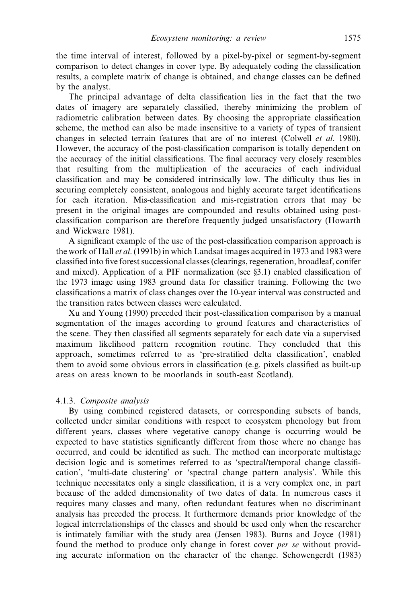the time interval of interest, followed by a pixel-by-pixel or segment-by-segment comparison to detect changes in cover type. By adequately coding the classification results, a complete matrix of change is obtained, and change classes can be defined by the analyst.

The principal advantage of delta classification lies in the fact that the two dates of imagery are separately classified, thereby minimizing the problem of radiometric calibration between dates. By choosing the appropriate classification scheme, the method can also be made insensitive to a variety of types of transient changes in selected terrain features that are of no interest (Colwell *et al.* 1980). However, the accuracy of the post-classification comparison is totally dependent on the accuracy of the initial classifications. The final accuracy very closely resembles that resulting from the multiplication of the accuracies of each individual classification and may be considered intrinsically low. The difficulty thus lies in securing completely consistent, analogous and highly accurate target identifications for each iteration. Mis-classification and mis-registration errors that may be present in the original images are compounded and results obtained using postclassification comparison are therefore frequently judged unsatisfactory (Howarth and Wickware 1981).

A significant example of the use of the post-classification comparison approach is the work of Hall et al. (1991b) in which Landsat images acquired in 1973 and 1983 were classified into five forest successional classes (clearings, regeneration, broadleaf, conifer and mixed). Application of a PIF normalization (see §3.1) enabled classification of the 1973 image using 1983 ground data for classifier training. Following the two classifications a matrix of class changes over the 10-year interval was constructed and the transition rates between classes were calculated.

Xu and Young (1990) preceded their post-classification comparison by a manual segmentation of the images according to ground features and characteristics of the scene. They then classified all segments separately for each date via a supervised maximum likelihood pattern recognition routine. They concluded that this approach, sometimes referred to as 'pre-stratified delta classification', enabled them to avoid some obvious errors in classification (e.g. pixels classified as built-up areas on areas known to be moorlands in south-east Scotland).

### 4.1.3. Composite analysis

By using combined registered datasets, or corresponding subsets of bands, collected under similar conditions with respect to ecosystem phenology but from different years, classes where vegetative canopy change is occurring would be expected to have statistics significantly different from those where no change has occurred, and could be identified as such. The method can incorporate multistage decision logic and is sometimes referred to as 'spectral/temporal change classification', 'multi-date clustering' or 'spectral change pattern analysis'. While this technique necessitates only a single classification, it is a very complex one, in part because of the added dimensionality of two dates of data. In numerous cases it requires many classes and many, often redundant features when no discriminant analysis has preceded the process. It furthermore demands prior knowledge of the logical interrelationships of the classes and should be used only when the researcher is intimately familiar with the study area (Jensen 1983). Burns and Joyce (1981) found the method to produce only change in forest cover per se without providing accurate information on the character of the change. Schowengerdt (1983)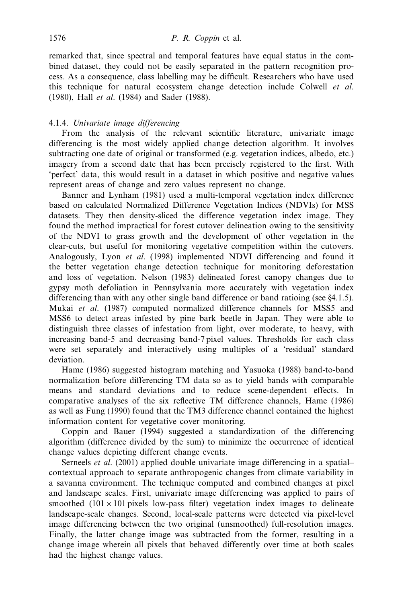remarked that, since spectral and temporal features have equal status in the combined dataset, they could not be easily separated in the pattern recognition process. As a consequence, class labelling may be difficult. Researchers who have used this technique for natural ecosystem change detection include Colwell *et al.* (1980), Hall et al. (1984) and Sader (1988).

# 4.1.4. Univariate image differencing

From the analysis of the relevant scientific literature, univariate image differencing is the most widely applied change detection algorithm. It involves subtracting one date of original or transformed (e.g. vegetation indices, albedo, etc.) imagery from a second date that has been precisely registered to the first. With 'perfect' data, this would result in a dataset in which positive and negative values represent areas of change and zero values represent no change.

Banner and Lynham (1981) used a multi-temporal vegetation index difference based on calculated Normalized Difference Vegetation Indices (NDVIs) for MSS datasets. They then density-sliced the difference vegetation index image. They found the method impractical for forest cutover delineation owing to the sensitivity of the NDVI to grass growth and the development of other vegetation in the clear-cuts, but useful for monitoring vegetative competition within the cutovers. Analogously, Lyon et al. (1998) implemented NDVI differencing and found it the better vegetation change detection technique for monitoring deforestation and loss of vegetation. Nelson (1983) delineated forest canopy changes due to gypsy moth defoliation in Pennsylvania more accurately with vegetation index differencing than with any other single band difference or band ratioing (see §4.1.5). Mukai et al. (1987) computed normalized difference channels for MSS5 and MSS6 to detect areas infested by pine bark beetle in Japan. They were able to distinguish three classes of infestation from light, over moderate, to heavy, with increasing band-5 and decreasing band-7 pixel values. Thresholds for each class were set separately and interactively using multiples of a 'residual' standard deviation.

Hame (1986) suggested histogram matching and Yasuoka (1988) band-to-band normalization before differencing TM data so as to yield bands with comparable means and standard deviations and to reduce scene-dependent effects. In comparative analyses of the six reflective TM difference channels, Hame (1986) as well as Fung (1990) found that the TM3 difference channel contained the highest information content for vegetative cover monitoring.

Coppin and Bauer (1994) suggested a standardization of the differencing algorithm (difference divided by the sum) to minimize the occurrence of identical change values depicting different change events.

Serneels *et al.* (2001) applied double univariate image differencing in a spatial– contextual approach to separate anthropogenic changes from climate variability in a savanna environment. The technique computed and combined changes at pixel and landscape scales. First, univariate image differencing was applied to pairs of smoothed  $(101 \times 101)$  pixels low-pass filter) vegetation index images to delineate landscape-scale changes. Second, local-scale patterns were detected via pixel-level image differencing between the two original (unsmoothed) full-resolution images. Finally, the latter change image was subtracted from the former, resulting in a change image wherein all pixels that behaved differently over time at both scales had the highest change values.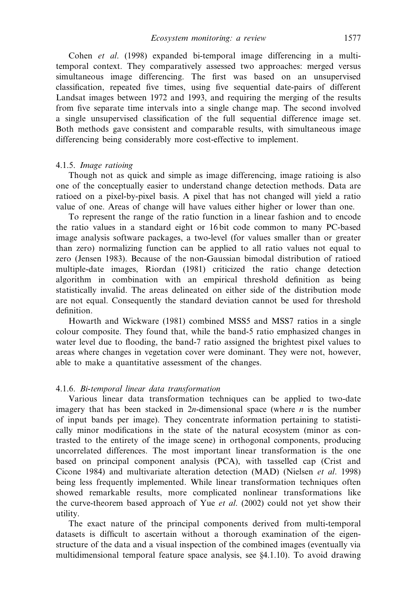Cohen et al. (1998) expanded bi-temporal image differencing in a multitemporal context. They comparatively assessed two approaches: merged versus simultaneous image differencing. The first was based on an unsupervised classification, repeated five times, using five sequential date-pairs of different Landsat images between 1972 and 1993, and requiring the merging of the results from five separate time intervals into a single change map. The second involved a single unsupervised classification of the full sequential difference image set. Both methods gave consistent and comparable results, with simultaneous image differencing being considerably more cost-effective to implement.

# 4.1.5. Image ratioing

Though not as quick and simple as image differencing, image ratioing is also one of the conceptually easier to understand change detection methods. Data are ratioed on a pixel-by-pixel basis. A pixel that has not changed will yield a ratio value of one. Areas of change will have values either higher or lower than one.

To represent the range of the ratio function in a linear fashion and to encode the ratio values in a standard eight or 16 bit code common to many PC-based image analysis software packages, a two-level (for values smaller than or greater than zero) normalizing function can be applied to all ratio values not equal to zero (Jensen 1983). Because of the non-Gaussian bimodal distribution of ratioed multiple-date images, Riordan (1981) criticized the ratio change detection algorithm in combination with an empirical threshold definition as being statistically invalid. The areas delineated on either side of the distribution mode are not equal. Consequently the standard deviation cannot be used for threshold definition.

Howarth and Wickware (1981) combined MSS5 and MSS7 ratios in a single colour composite. They found that, while the band-5 ratio emphasized changes in water level due to flooding, the band-7 ratio assigned the brightest pixel values to areas where changes in vegetation cover were dominant. They were not, however, able to make a quantitative assessment of the changes.

# 4.1.6. Bi-temporal linear data transformation

Various linear data transformation techniques can be applied to two-date imagery that has been stacked in 2*n*-dimensional space (where *n* is the number of input bands per image). They concentrate information pertaining to statistically minor modifications in the state of the natural ecosystem (minor as contrasted to the entirety of the image scene) in orthogonal components, producing uncorrelated differences. The most important linear transformation is the one based on principal component analysis (PCA), with tasselled cap (Crist and Cicone 1984) and multivariate alteration detection (MAD) (Nielsen et al. 1998) being less frequently implemented. While linear transformation techniques often showed remarkable results, more complicated nonlinear transformations like the curve-theorem based approach of Yue et al. (2002) could not yet show their utility.

The exact nature of the principal components derived from multi-temporal datasets is difficult to ascertain without a thorough examination of the eigenstructure of the data and a visual inspection of the combined images (eventually via multidimensional temporal feature space analysis, see §4.1.10). To avoid drawing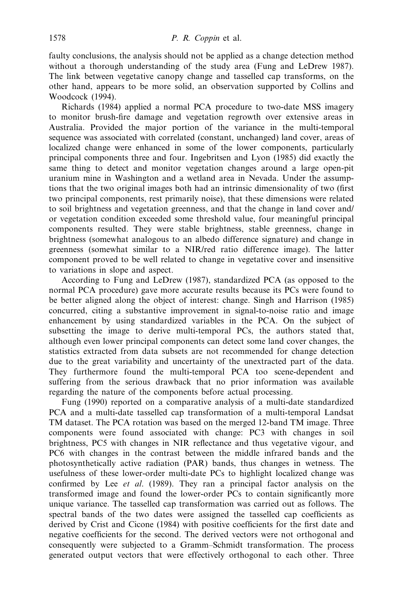faulty conclusions, the analysis should not be applied as a change detection method without a thorough understanding of the study area (Fung and LeDrew 1987). The link between vegetative canopy change and tasselled cap transforms, on the other hand, appears to be more solid, an observation supported by Collins and Woodcock (1994).

Richards (1984) applied a normal PCA procedure to two-date MSS imagery to monitor brush-fire damage and vegetation regrowth over extensive areas in Australia. Provided the major portion of the variance in the multi-temporal sequence was associated with correlated (constant, unchanged) land cover, areas of localized change were enhanced in some of the lower components, particularly principal components three and four. Ingebritsen and Lyon (1985) did exactly the same thing to detect and monitor vegetation changes around a large open-pit uranium mine in Washington and a wetland area in Nevada. Under the assumptions that the two original images both had an intrinsic dimensionality of two (first two principal components, rest primarily noise), that these dimensions were related to soil brightness and vegetation greenness, and that the change in land cover and/ or vegetation condition exceeded some threshold value, four meaningful principal components resulted. They were stable brightness, stable greenness, change in brightness (somewhat analogous to an albedo difference signature) and change in greenness (somewhat similar to a NIR/red ratio difference image). The latter component proved to be well related to change in vegetative cover and insensitive to variations in slope and aspect.

According to Fung and LeDrew (1987), standardized PCA (as opposed to the normal PCA procedure) gave more accurate results because its PCs were found to be better aligned along the object of interest: change. Singh and Harrison (1985) concurred, citing a substantive improvement in signal-to-noise ratio and image enhancement by using standardized variables in the PCA. On the subject of subsetting the image to derive multi-temporal PCs, the authors stated that, although even lower principal components can detect some land cover changes, the statistics extracted from data subsets are not recommended for change detection due to the great variability and uncertainty of the unextracted part of the data. They furthermore found the multi-temporal PCA too scene-dependent and suffering from the serious drawback that no prior information was available regarding the nature of the components before actual processing.

Fung (1990) reported on a comparative analysis of a multi-date standardized PCA and a multi-date tasselled cap transformation of a multi-temporal Landsat TM dataset. The PCA rotation was based on the merged 12-band TM image. Three components were found associated with change: PC3 with changes in soil brightness, PC5 with changes in NIR reflectance and thus vegetative vigour, and PC6 with changes in the contrast between the middle infrared bands and the photosynthetically active radiation (PAR) bands, thus changes in wetness. The usefulness of these lower-order multi-date PCs to highlight localized change was confirmed by Lee *et al.* (1989). They ran a principal factor analysis on the transformed image and found the lower-order PCs to contain significantly more unique variance. The tasselled cap transformation was carried out as follows. The spectral bands of the two dates were assigned the tasselled cap coefficients as derived by Crist and Cicone (1984) with positive coefficients for the first date and negative coefficients for the second. The derived vectors were not orthogonal and consequently were subjected to a Gramm–Schmidt transformation. The process generated output vectors that were effectively orthogonal to each other. Three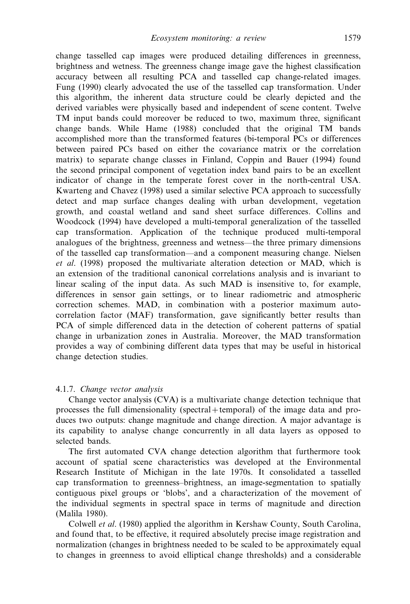change tasselled cap images were produced detailing differences in greenness, brightness and wetness. The greenness change image gave the highest classification accuracy between all resulting PCA and tasselled cap change-related images. Fung (1990) clearly advocated the use of the tasselled cap transformation. Under this algorithm, the inherent data structure could be clearly depicted and the derived variables were physically based and independent of scene content. Twelve TM input bands could moreover be reduced to two, maximum three, significant change bands. While Hame (1988) concluded that the original TM bands accomplished more than the transformed features (bi-temporal PCs or differences between paired PCs based on either the covariance matrix or the correlation matrix) to separate change classes in Finland, Coppin and Bauer (1994) found the second principal component of vegetation index band pairs to be an excellent indicator of change in the temperate forest cover in the north-central USA. Kwarteng and Chavez (1998) used a similar selective PCA approach to successfully detect and map surface changes dealing with urban development, vegetation growth, and coastal wetland and sand sheet surface differences. Collins and Woodcock (1994) have developed a multi-temporal generalization of the tasselled cap transformation. Application of the technique produced multi-temporal analogues of the brightness, greenness and wetness—the three primary dimensions of the tasselled cap transformation—and a component measuring change. Nielsen et al. (1998) proposed the multivariate alteration detection or MAD, which is an extension of the traditional canonical correlations analysis and is invariant to linear scaling of the input data. As such MAD is insensitive to, for example, differences in sensor gain settings, or to linear radiometric and atmospheric correction schemes. MAD, in combination with a posterior maximum autocorrelation factor (MAF) transformation, gave significantly better results than PCA of simple differenced data in the detection of coherent patterns of spatial change in urbanization zones in Australia. Moreover, the MAD transformation provides a way of combining different data types that may be useful in historical change detection studies.

# 4.1.7. Change vector analysis

Change vector analysis (CVA) is a multivariate change detection technique that processes the full dimensionality (spectral  $+$  temporal) of the image data and produces two outputs: change magnitude and change direction. A major advantage is its capability to analyse change concurrently in all data layers as opposed to selected bands.

The first automated CVA change detection algorithm that furthermore took account of spatial scene characteristics was developed at the Environmental Research Institute of Michigan in the late 1970s. It consolidated a tasselled cap transformation to greenness–brightness, an image-segmentation to spatially contiguous pixel groups or 'blobs', and a characterization of the movement of the individual segments in spectral space in terms of magnitude and direction (Malila 1980).

Colwell et al. (1980) applied the algorithm in Kershaw County, South Carolina, and found that, to be effective, it required absolutely precise image registration and normalization (changes in brightness needed to be scaled to be approximately equal to changes in greenness to avoid elliptical change thresholds) and a considerable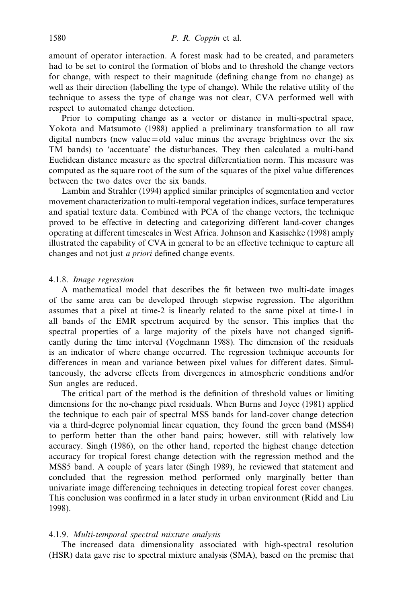amount of operator interaction. A forest mask had to be created, and parameters had to be set to control the formation of blobs and to threshold the change vectors for change, with respect to their magnitude (defining change from no change) as well as their direction (labelling the type of change). While the relative utility of the technique to assess the type of change was not clear, CVA performed well with respect to automated change detection.

Prior to computing change as a vector or distance in multi-spectral space, Yokota and Matsumoto (1988) applied a preliminary transformation to all raw digital numbers (new value  $=$  old value minus the average brightness over the six TM bands) to 'accentuate' the disturbances. They then calculated a multi-band Euclidean distance measure as the spectral differentiation norm. This measure was computed as the square root of the sum of the squares of the pixel value differences between the two dates over the six bands.

Lambin and Strahler (1994) applied similar principles of segmentation and vector movement characterization to multi-temporal vegetation indices, surface temperatures and spatial texture data. Combined with PCA of the change vectors, the technique proved to be effective in detecting and categorizing different land-cover changes operating at different timescales in West Africa. Johnson and Kasischke (1998) amply illustrated the capability of CVA in general to be an effective technique to capture all changes and not just *a priori* defined change events.

#### 4.1.8. Image regression

A mathematical model that describes the fit between two multi-date images of the same area can be developed through stepwise regression. The algorithm assumes that a pixel at time-2 is linearly related to the same pixel at time-1 in all bands of the EMR spectrum acquired by the sensor. This implies that the spectral properties of a large majority of the pixels have not changed significantly during the time interval (Vogelmann 1988). The dimension of the residuals is an indicator of where change occurred. The regression technique accounts for differences in mean and variance between pixel values for different dates. Simultaneously, the adverse effects from divergences in atmospheric conditions and/or Sun angles are reduced.

The critical part of the method is the definition of threshold values or limiting dimensions for the no-change pixel residuals. When Burns and Joyce (1981) applied the technique to each pair of spectral MSS bands for land-cover change detection via a third-degree polynomial linear equation, they found the green band (MSS4) to perform better than the other band pairs; however, still with relatively low accuracy. Singh (1986), on the other hand, reported the highest change detection accuracy for tropical forest change detection with the regression method and the MSS5 band. A couple of years later (Singh 1989), he reviewed that statement and concluded that the regression method performed only marginally better than univariate image differencing techniques in detecting tropical forest cover changes. This conclusion was confirmed in a later study in urban environment (Ridd and Liu 1998).

#### 4.1.9. Multi-temporal spectral mixture analysis

The increased data dimensionality associated with high-spectral resolution (HSR) data gave rise to spectral mixture analysis (SMA), based on the premise that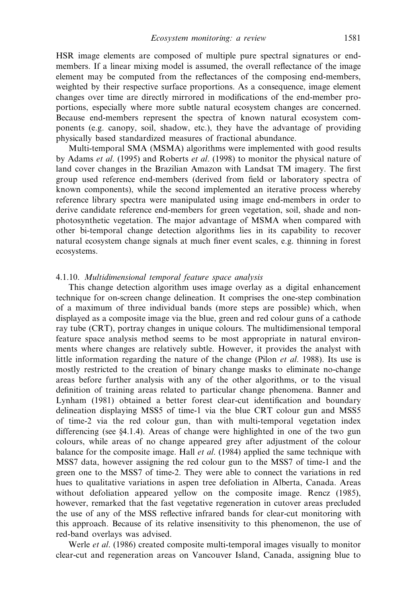HSR image elements are composed of multiple pure spectral signatures or endmembers. If a linear mixing model is assumed, the overall reflectance of the image element may be computed from the reflectances of the composing end-members, weighted by their respective surface proportions. As a consequence, image element changes over time are directly mirrored in modifications of the end-member proportions, especially where more subtle natural ecosystem changes are concerned. Because end-members represent the spectra of known natural ecosystem components (e.g. canopy, soil, shadow, etc.), they have the advantage of providing physically based standardized measures of fractional abundance.

Multi-temporal SMA (MSMA) algorithms were implemented with good results by Adams et al. (1995) and Roberts et al. (1998) to monitor the physical nature of land cover changes in the Brazilian Amazon with Landsat TM imagery. The first group used reference end-members (derived from field or laboratory spectra of known components), while the second implemented an iterative process whereby reference library spectra were manipulated using image end-members in order to derive candidate reference end-members for green vegetation, soil, shade and nonphotosynthetic vegetation. The major advantage of MSMA when compared with other bi-temporal change detection algorithms lies in its capability to recover natural ecosystem change signals at much finer event scales, e.g. thinning in forest ecosystems.

# 4.1.10. Multidimensional temporal feature space analysis

This change detection algorithm uses image overlay as a digital enhancement technique for on-screen change delineation. It comprises the one-step combination of a maximum of three individual bands (more steps are possible) which, when displayed as a composite image via the blue, green and red colour guns of a cathode ray tube (CRT), portray changes in unique colours. The multidimensional temporal feature space analysis method seems to be most appropriate in natural environments where changes are relatively subtle. However, it provides the analyst with little information regarding the nature of the change (Pilon et al. 1988). Its use is mostly restricted to the creation of binary change masks to eliminate no-change areas before further analysis with any of the other algorithms, or to the visual definition of training areas related to particular change phenomena. Banner and Lynham (1981) obtained a better forest clear-cut identification and boundary delineation displaying MSS5 of time-1 via the blue CRT colour gun and MSS5 of time-2 via the red colour gun, than with multi-temporal vegetation index differencing (see §4.1.4). Areas of change were highlighted in one of the two gun colours, while areas of no change appeared grey after adjustment of the colour balance for the composite image. Hall  $et$  al. (1984) applied the same technique with MSS7 data, however assigning the red colour gun to the MSS7 of time-1 and the green one to the MSS7 of time-2. They were able to connect the variations in red hues to qualitative variations in aspen tree defoliation in Alberta, Canada. Areas without defoliation appeared yellow on the composite image. Rencz (1985), however, remarked that the fast vegetative regeneration in cutover areas precluded the use of any of the MSS reflective infrared bands for clear-cut monitoring with this approach. Because of its relative insensitivity to this phenomenon, the use of red-band overlays was advised.

Werle *et al.* (1986) created composite multi-temporal images visually to monitor clear-cut and regeneration areas on Vancouver Island, Canada, assigning blue to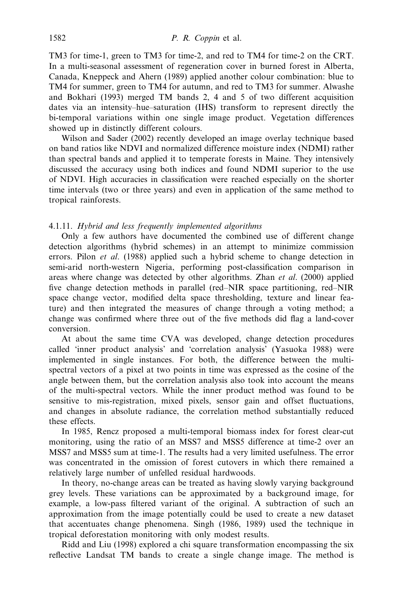TM3 for time-1, green to TM3 for time-2, and red to TM4 for time-2 on the CRT. In a multi-seasonal assessment of regeneration cover in burned forest in Alberta, Canada, Kneppeck and Ahern (1989) applied another colour combination: blue to TM4 for summer, green to TM4 for autumn, and red to TM3 for summer. Alwashe and Bokhari (1993) merged TM bands 2, 4 and 5 of two different acquisition dates via an intensity–hue–saturation (IHS) transform to represent directly the bi-temporal variations within one single image product. Vegetation differences showed up in distinctly different colours.

Wilson and Sader (2002) recently developed an image overlay technique based on band ratios like NDVI and normalized difference moisture index (NDMI) rather than spectral bands and applied it to temperate forests in Maine. They intensively discussed the accuracy using both indices and found NDMI superior to the use of NDVI. High accuracies in classification were reached especially on the shorter time intervals (two or three years) and even in application of the same method to tropical rainforests.

# 4.1.11. Hybrid and less frequently implemented algorithms

Only a few authors have documented the combined use of different change detection algorithms (hybrid schemes) in an attempt to minimize commission errors. Pilon *et al.* (1988) applied such a hybrid scheme to change detection in semi-arid north-western Nigeria, performing post-classification comparison in areas where change was detected by other algorithms. Zhan et al. (2000) applied five change detection methods in parallel (red–NIR space partitioning, red–NIR space change vector, modified delta space thresholding, texture and linear feature) and then integrated the measures of change through a voting method; a change was confirmed where three out of the five methods did flag a land-cover conversion.

At about the same time CVA was developed, change detection procedures called 'inner product analysis' and 'correlation analysis' (Yasuoka 1988) were implemented in single instances. For both, the difference between the multispectral vectors of a pixel at two points in time was expressed as the cosine of the angle between them, but the correlation analysis also took into account the means of the multi-spectral vectors. While the inner product method was found to be sensitive to mis-registration, mixed pixels, sensor gain and offset fluctuations, and changes in absolute radiance, the correlation method substantially reduced these effects.

In 1985, Rencz proposed a multi-temporal biomass index for forest clear-cut monitoring, using the ratio of an MSS7 and MSS5 difference at time-2 over an MSS7 and MSS5 sum at time-1. The results had a very limited usefulness. The error was concentrated in the omission of forest cutovers in which there remained a relatively large number of unfelled residual hardwoods.

In theory, no-change areas can be treated as having slowly varying background grey levels. These variations can be approximated by a background image, for example, a low-pass filtered variant of the original. A subtraction of such an approximation from the image potentially could be used to create a new dataset that accentuates change phenomena. Singh (1986, 1989) used the technique in tropical deforestation monitoring with only modest results.

Ridd and Liu (1998) explored a chi square transformation encompassing the six reflective Landsat TM bands to create a single change image. The method is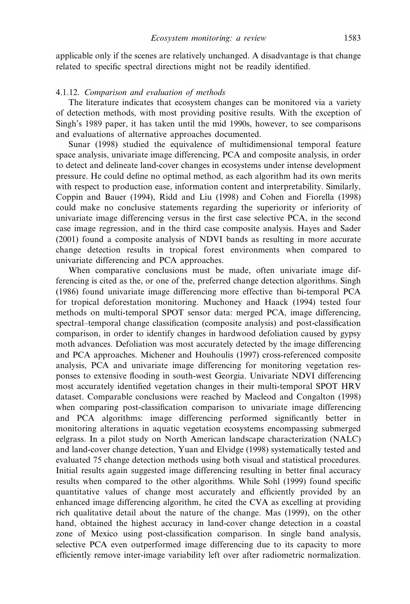applicable only if the scenes are relatively unchanged. A disadvantage is that change related to specific spectral directions might not be readily identified.

# 4.1.12. Comparison and evaluation of methods

The literature indicates that ecosystem changes can be monitored via a variety of detection methods, with most providing positive results. With the exception of Singh's 1989 paper, it has taken until the mid 1990s, however, to see comparisons and evaluations of alternative approaches documented.

Sunar (1998) studied the equivalence of multidimensional temporal feature space analysis, univariate image differencing, PCA and composite analysis, in order to detect and delineate land-cover changes in ecosystems under intense development pressure. He could define no optimal method, as each algorithm had its own merits with respect to production ease, information content and interpretability. Similarly, Coppin and Bauer (1994), Ridd and Liu (1998) and Cohen and Fiorella (1998) could make no conclusive statements regarding the superiority or inferiority of univariate image differencing versus in the first case selective PCA, in the second case image regression, and in the third case composite analysis. Hayes and Sader (2001) found a composite analysis of NDVI bands as resulting in more accurate change detection results in tropical forest environments when compared to univariate differencing and PCA approaches.

When comparative conclusions must be made, often univariate image differencing is cited as the, or one of the, preferred change detection algorithms. Singh (1986) found univariate image differencing more effective than bi-temporal PCA for tropical deforestation monitoring. Muchoney and Haack (1994) tested four methods on multi-temporal SPOT sensor data: merged PCA, image differencing, spectral–temporal change classification (composite analysis) and post-classification comparison, in order to identify changes in hardwood defoliation caused by gypsy moth advances. Defoliation was most accurately detected by the image differencing and PCA approaches. Michener and Houhoulis (1997) cross-referenced composite analysis, PCA and univariate image differencing for monitoring vegetation responses to extensive flooding in south-west Georgia. Univariate NDVI differencing most accurately identified vegetation changes in their multi-temporal SPOT HRV dataset. Comparable conclusions were reached by Macleod and Congalton (1998) when comparing post-classification comparison to univariate image differencing and PCA algorithms: image differencing performed significantly better in monitoring alterations in aquatic vegetation ecosystems encompassing submerged eelgrass. In a pilot study on North American landscape characterization (NALC) and land-cover change detection, Yuan and Elvidge (1998) systematically tested and evaluated 75 change detection methods using both visual and statistical procedures. Initial results again suggested image differencing resulting in better final accuracy results when compared to the other algorithms. While Sohl (1999) found specific quantitative values of change most accurately and efficiently provided by an enhanced image differencing algorithm, he cited the CVA as excelling at providing rich qualitative detail about the nature of the change. Mas (1999), on the other hand, obtained the highest accuracy in land-cover change detection in a coastal zone of Mexico using post-classification comparison. In single band analysis, selective PCA even outperformed image differencing due to its capacity to more efficiently remove inter-image variability left over after radiometric normalization.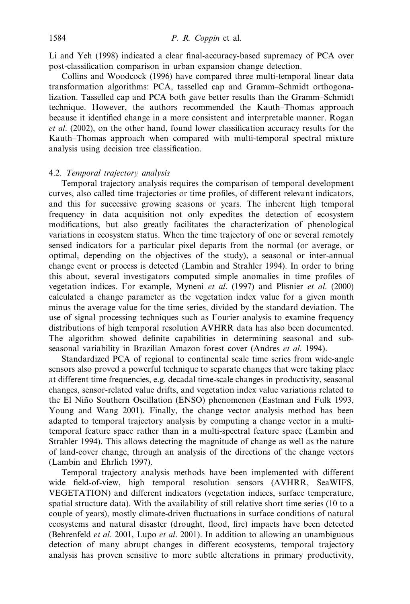Li and Yeh (1998) indicated a clear final-accuracy-based supremacy of PCA over post-classification comparison in urban expansion change detection.

Collins and Woodcock (1996) have compared three multi-temporal linear data transformation algorithms: PCA, tasselled cap and Gramm–Schmidt orthogonalization. Tasselled cap and PCA both gave better results than the Gramm–Schmidt technique. However, the authors recommended the Kauth–Thomas approach because it identified change in a more consistent and interpretable manner. Rogan et al. (2002), on the other hand, found lower classification accuracy results for the Kauth–Thomas approach when compared with multi-temporal spectral mixture analysis using decision tree classification.

### 4.2. Temporal trajectory analysis

Temporal trajectory analysis requires the comparison of temporal development curves, also called time trajectories or time profiles, of different relevant indicators, and this for successive growing seasons or years. The inherent high temporal frequency in data acquisition not only expedites the detection of ecosystem modifications, but also greatly facilitates the characterization of phenological variations in ecosystem status. When the time trajectory of one or several remotely sensed indicators for a particular pixel departs from the normal (or average, or optimal, depending on the objectives of the study), a seasonal or inter-annual change event or process is detected (Lambin and Strahler 1994). In order to bring this about, several investigators computed simple anomalies in time profiles of vegetation indices. For example, Myneni et al. (1997) and Plisnier et al. (2000) calculated a change parameter as the vegetation index value for a given month minus the average value for the time series, divided by the standard deviation. The use of signal processing techniques such as Fourier analysis to examine frequency distributions of high temporal resolution AVHRR data has also been documented. The algorithm showed definite capabilities in determining seasonal and subseasonal variability in Brazilian Amazon forest cover (Andres et al. 1994).

Standardized PCA of regional to continental scale time series from wide-angle sensors also proved a powerful technique to separate changes that were taking place at different time frequencies, e.g. decadal time-scale changes in productivity, seasonal changes, sensor-related value drifts, and vegetation index value variations related to the El Niño Southern Oscillation (ENSO) phenomenon (Eastman and Fulk 1993, Young and Wang 2001). Finally, the change vector analysis method has been adapted to temporal trajectory analysis by computing a change vector in a multitemporal feature space rather than in a multi-spectral feature space (Lambin and Strahler 1994). This allows detecting the magnitude of change as well as the nature of land-cover change, through an analysis of the directions of the change vectors (Lambin and Ehrlich 1997).

Temporal trajectory analysis methods have been implemented with different wide field-of-view, high temporal resolution sensors (AVHRR, SeaWIFS, VEGETATION) and different indicators (vegetation indices, surface temperature, spatial structure data). With the availability of still relative short time series (10 to a couple of years), mostly climate-driven fluctuations in surface conditions of natural ecosystems and natural disaster (drought, flood, fire) impacts have been detected (Behrenfeld et al. 2001, Lupo et al. 2001). In addition to allowing an unambiguous detection of many abrupt changes in different ecosystems, temporal trajectory analysis has proven sensitive to more subtle alterations in primary productivity,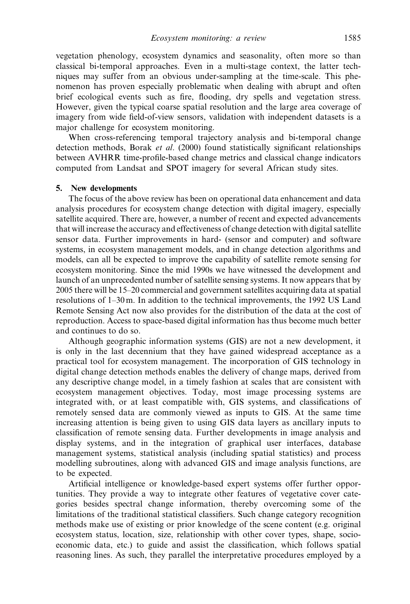vegetation phenology, ecosystem dynamics and seasonality, often more so than classical bi-temporal approaches. Even in a multi-stage context, the latter techniques may suffer from an obvious under-sampling at the time-scale. This phenomenon has proven especially problematic when dealing with abrupt and often brief ecological events such as fire, flooding, dry spells and vegetation stress. However, given the typical coarse spatial resolution and the large area coverage of imagery from wide field-of-view sensors, validation with independent datasets is a major challenge for ecosystem monitoring.

When cross-referencing temporal trajectory analysis and bi-temporal change detection methods, Borak et al. (2000) found statistically significant relationships between AVHRR time-profile-based change metrics and classical change indicators computed from Landsat and SPOT imagery for several African study sites.

# 5. New developments

The focus of the above review has been on operational data enhancement and data analysis procedures for ecosystem change detection with digital imagery, especially satellite acquired. There are, however, a number of recent and expected advancements that will increase the accuracy and effectiveness of change detection with digital satellite sensor data. Further improvements in hard- (sensor and computer) and software systems, in ecosystem management models, and in change detection algorithms and models, can all be expected to improve the capability of satellite remote sensing for ecosystem monitoring. Since the mid 1990s we have witnessed the development and launch of an unprecedented number of satellite sensing systems. It now appears that by 2005 there will be 15–20 commercial and government satellites acquiring data at spatial resolutions of 1–30 m. In addition to the technical improvements, the 1992 US Land Remote Sensing Act now also provides for the distribution of the data at the cost of reproduction. Access to space-based digital information has thus become much better and continues to do so.

Although geographic information systems (GIS) are not a new development, it is only in the last decennium that they have gained widespread acceptance as a practical tool for ecosystem management. The incorporation of GIS technology in digital change detection methods enables the delivery of change maps, derived from any descriptive change model, in a timely fashion at scales that are consistent with ecosystem management objectives. Today, most image processing systems are integrated with, or at least compatible with, GIS systems, and classifications of remotely sensed data are commonly viewed as inputs to GIS. At the same time increasing attention is being given to using GIS data layers as ancillary inputs to classification of remote sensing data. Further developments in image analysis and display systems, and in the integration of graphical user interfaces, database management systems, statistical analysis (including spatial statistics) and process modelling subroutines, along with advanced GIS and image analysis functions, are to be expected.

Artificial intelligence or knowledge-based expert systems offer further opportunities. They provide a way to integrate other features of vegetative cover categories besides spectral change information, thereby overcoming some of the limitations of the traditional statistical classifiers. Such change category recognition methods make use of existing or prior knowledge of the scene content (e.g. original ecosystem status, location, size, relationship with other cover types, shape, socioeconomic data, etc.) to guide and assist the classification, which follows spatial reasoning lines. As such, they parallel the interpretative procedures employed by a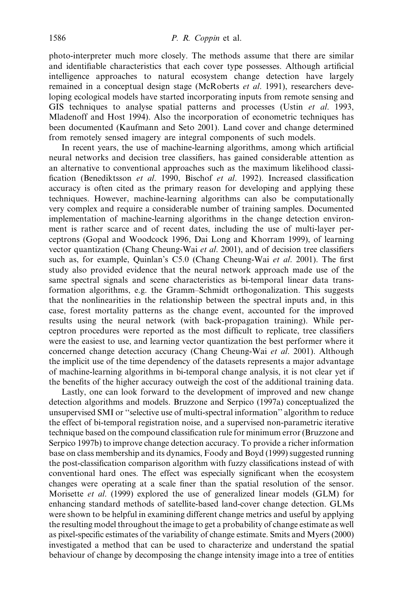photo-interpreter much more closely. The methods assume that there are similar and identifiable characteristics that each cover type possesses. Although artificial intelligence approaches to natural ecosystem change detection have largely remained in a conceptual design stage (McRoberts *et al.* 1991), researchers developing ecological models have started incorporating inputs from remote sensing and GIS techniques to analyse spatial patterns and processes (Ustin et al. 1993, Mladenoff and Host 1994). Also the incorporation of econometric techniques has been documented (Kaufmann and Seto 2001). Land cover and change determined from remotely sensed imagery are integral components of such models.

In recent years, the use of machine-learning algorithms, among which artificial neural networks and decision tree classifiers, has gained considerable attention as an alternative to conventional approaches such as the maximum likelihood classification (Benediktsson et al. 1990, Bischof et al. 1992). Increased classification accuracy is often cited as the primary reason for developing and applying these techniques. However, machine-learning algorithms can also be computationally very complex and require a considerable number of training samples. Documented implementation of machine-learning algorithms in the change detection environment is rather scarce and of recent dates, including the use of multi-layer perceptrons (Gopal and Woodcock 1996, Dai Long and Khorram 1999), of learning vector quantization (Chang Cheung-Wai et al. 2001), and of decision tree classifiers such as, for example, Quinlan's C5.0 (Chang Cheung-Wai et al. 2001). The first study also provided evidence that the neural network approach made use of the same spectral signals and scene characteristics as bi-temporal linear data transformation algorithms, e.g. the Gramm–Schmidt orthogonalization. This suggests that the nonlinearities in the relationship between the spectral inputs and, in this case, forest mortality patterns as the change event, accounted for the improved results using the neural network (with back-propagation training). While perceptron procedures were reported as the most difficult to replicate, tree classifiers were the easiest to use, and learning vector quantization the best performer where it concerned change detection accuracy (Chang Cheung-Wai et al. 2001). Although the implicit use of the time dependency of the datasets represents a major advantage of machine-learning algorithms in bi-temporal change analysis, it is not clear yet if the benefits of the higher accuracy outweigh the cost of the additional training data.

Lastly, one can look forward to the development of improved and new change detection algorithms and models. Bruzzone and Serpico (1997a) conceptualized the unsupervised SMI or ''selective use of multi-spectral information'' algorithm to reduce the effect of bi-temporal registration noise, and a supervised non-parametric iterative technique based on the compound classification rule for minimum error (Bruzzone and Serpico 1997b) to improve change detection accuracy. To provide a richer information base on class membership and its dynamics, Foody and Boyd (1999) suggested running the post-classification comparison algorithm with fuzzy classifications instead of with conventional hard ones. The effect was especially significant when the ecosystem changes were operating at a scale finer than the spatial resolution of the sensor. Morisette et al. (1999) explored the use of generalized linear models (GLM) for enhancing standard methods of satellite-based land-cover change detection. GLMs were shown to be helpful in examining different change metrics and useful by applying the resulting model throughout the image to get a probability of change estimate as well as pixel-specific estimates of the variability of change estimate. Smits and Myers (2000) investigated a method that can be used to characterize and understand the spatial behaviour of change by decomposing the change intensity image into a tree of entities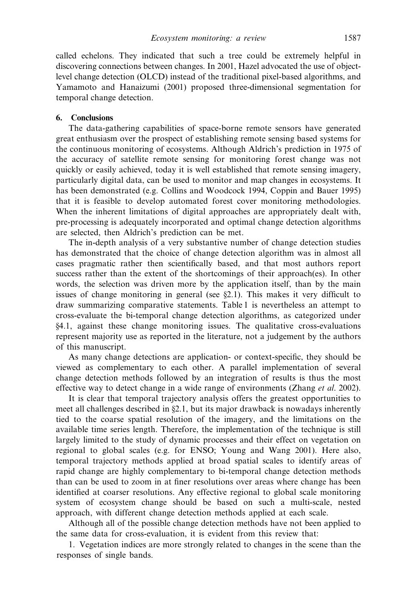called echelons. They indicated that such a tree could be extremely helpful in discovering connections between changes. In 2001, Hazel advocated the use of objectlevel change detection (OLCD) instead of the traditional pixel-based algorithms, and Yamamoto and Hanaizumi (2001) proposed three-dimensional segmentation for temporal change detection.

# 6. Conclusions

The data-gathering capabilities of space-borne remote sensors have generated great enthusiasm over the prospect of establishing remote sensing based systems for the continuous monitoring of ecosystems. Although Aldrich's prediction in 1975 of the accuracy of satellite remote sensing for monitoring forest change was not quickly or easily achieved, today it is well established that remote sensing imagery, particularly digital data, can be used to monitor and map changes in ecosystems. It has been demonstrated (e.g. Collins and Woodcock 1994, Coppin and Bauer 1995) that it is feasible to develop automated forest cover monitoring methodologies. When the inherent limitations of digital approaches are appropriately dealt with, pre-processing is adequately incorporated and optimal change detection algorithms are selected, then Aldrich's prediction can be met.

The in-depth analysis of a very substantive number of change detection studies has demonstrated that the choice of change detection algorithm was in almost all cases pragmatic rather then scientifically based, and that most authors report success rather than the extent of the shortcomings of their approach(es). In other words, the selection was driven more by the application itself, than by the main issues of change monitoring in general (see §2.1). This makes it very difficult to draw summarizing comparative statements. Table 1 is nevertheless an attempt to cross-evaluate the bi-temporal change detection algorithms, as categorized under §4.1, against these change monitoring issues. The qualitative cross-evaluations represent majority use as reported in the literature, not a judgement by the authors of this manuscript.

As many change detections are application- or context-specific, they should be viewed as complementary to each other. A parallel implementation of several change detection methods followed by an integration of results is thus the most effective way to detect change in a wide range of environments (Zhang *et al.* 2002).

It is clear that temporal trajectory analysis offers the greatest opportunities to meet all challenges described in §2.1, but its major drawback is nowadays inherently tied to the coarse spatial resolution of the imagery, and the limitations on the available time series length. Therefore, the implementation of the technique is still largely limited to the study of dynamic processes and their effect on vegetation on regional to global scales (e.g. for ENSO; Young and Wang 2001). Here also, temporal trajectory methods applied at broad spatial scales to identify areas of rapid change are highly complementary to bi-temporal change detection methods than can be used to zoom in at finer resolutions over areas where change has been identified at coarser resolutions. Any effective regional to global scale monitoring system of ecosystem change should be based on such a multi-scale, nested approach, with different change detection methods applied at each scale.

Although all of the possible change detection methods have not been applied to the same data for cross-evaluation, it is evident from this review that:

1. Vegetation indices are more strongly related to changes in the scene than the responses of single bands.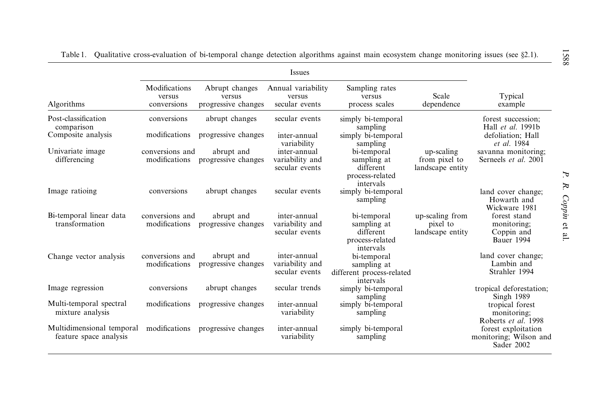|                                                     | Issues                                 |                                                 |                                                   |                                                                         |                                                 |                                                                                    |
|-----------------------------------------------------|----------------------------------------|-------------------------------------------------|---------------------------------------------------|-------------------------------------------------------------------------|-------------------------------------------------|------------------------------------------------------------------------------------|
| Algorithms                                          | Modifications<br>versus<br>conversions | Abrupt changes<br>versus<br>progressive changes | Annual variability<br>versus<br>secular events    | Sampling rates<br>versus<br>process scales                              | Scale<br>dependence                             | Typical<br>example                                                                 |
| Post-classification                                 | conversions                            | abrupt changes                                  | secular events                                    | simply bi-temporal                                                      |                                                 | forest succession:                                                                 |
| comparison<br>Composite analysis                    | modifications                          | progressive changes                             | inter-annual<br>variability                       | sampling<br>simply bi-temporal<br>sampling                              |                                                 | Hall et al. 1991b<br>defoliation; Hall<br>et al. 1984                              |
| Univariate image<br>differencing                    | conversions and<br>modifications       | abrupt and<br>progressive changes               | inter-annual<br>variability and<br>secular events | bi-temporal<br>sampling at<br>different<br>process-related<br>intervals | up-scaling<br>from pixel to<br>landscape entity | savanna monitoring:<br>Serneels et al. 2001                                        |
| Image ratioing                                      | conversions                            | abrupt changes                                  | secular events                                    | simply bi-temporal<br>sampling                                          |                                                 | land cover change;<br>Howarth and<br>Wickware 1981                                 |
| Bi-temporal linear data<br>transformation           | conversions and<br>modifications       | abrupt and<br>progressive changes               | inter-annual<br>variability and<br>secular events | bi-temporal<br>sampling at<br>different<br>process-related<br>intervals | up-scaling from<br>pixel to<br>landscape entity | forest stand<br>monitoring;<br>Coppin and<br>Bauer 1994                            |
| Change vector analysis                              | conversions and<br>modifications       | abrupt and<br>progressive changes               | inter-annual<br>variability and<br>secular events | bi-temporal<br>sampling at<br>different process-related<br>intervals    |                                                 | land cover change;<br>Lambin and<br>Strahler 1994                                  |
| Image regression                                    | conversions                            | abrupt changes                                  | secular trends                                    | simply bi-temporal                                                      |                                                 | tropical deforestation;                                                            |
| Multi-temporal spectral<br>mixture analysis         | modifications                          | progressive changes                             | inter-annual<br>variability                       | sampling<br>simply bi-temporal<br>sampling                              |                                                 | Singh $1989$<br>tropical forest<br>monitoring;                                     |
| Multidimensional temporal<br>feature space analysis | modifications                          | progressive changes                             | inter-annual<br>variability                       | simply bi-temporal<br>sampling                                          |                                                 | Roberts et al. 1998<br>forest exploitation<br>monitoring; Wilson and<br>Sader 2002 |

Table 1. Qualitative cross-evaluation of bi-temporal change detection algorithms against main ecosystem change monitoring issues (see §2.1).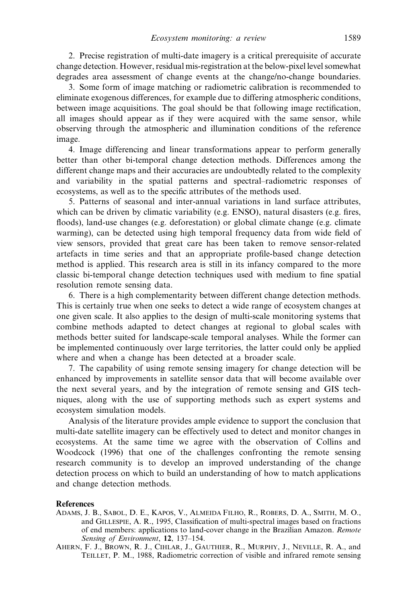2. Precise registration of multi-date imagery is a critical prerequisite of accurate change detection. However, residual mis-registration at the below-pixel level somewhat degrades area assessment of change events at the change/no-change boundaries.

3. Some form of image matching or radiometric calibration is recommended to eliminate exogenous differences, for example due to differing atmospheric conditions, between image acquisitions. The goal should be that following image rectification, all images should appear as if they were acquired with the same sensor, while observing through the atmospheric and illumination conditions of the reference image.

4. Image differencing and linear transformations appear to perform generally better than other bi-temporal change detection methods. Differences among the different change maps and their accuracies are undoubtedly related to the complexity and variability in the spatial patterns and spectral–radiometric responses of ecosystems, as well as to the specific attributes of the methods used.

5. Patterns of seasonal and inter-annual variations in land surface attributes, which can be driven by climatic variability (e.g. ENSO), natural disasters (e.g. fires, floods), land-use changes (e.g. deforestation) or global climate change (e.g. climate warming), can be detected using high temporal frequency data from wide field of view sensors, provided that great care has been taken to remove sensor-related artefacts in time series and that an appropriate profile-based change detection method is applied. This research area is still in its infancy compared to the more classic bi-temporal change detection techniques used with medium to fine spatial resolution remote sensing data.

6. There is a high complementarity between different change detection methods. This is certainly true when one seeks to detect a wide range of ecosystem changes at one given scale. It also applies to the design of multi-scale monitoring systems that combine methods adapted to detect changes at regional to global scales with methods better suited for landscape-scale temporal analyses. While the former can be implemented continuously over large territories, the latter could only be applied where and when a change has been detected at a broader scale.

7. The capability of using remote sensing imagery for change detection will be enhanced by improvements in satellite sensor data that will become available over the next several years, and by the integration of remote sensing and GIS techniques, along with the use of supporting methods such as expert systems and ecosystem simulation models.

Analysis of the literature provides ample evidence to support the conclusion that multi-date satellite imagery can be effectively used to detect and monitor changes in ecosystems. At the same time we agree with the observation of Collins and Woodcock (1996) that one of the challenges confronting the remote sensing research community is to develop an improved understanding of the change detection process on which to build an understanding of how to match applications and change detection methods.

#### References

- ADAMS, J. B., SABOL, D. E., KAPOS, V., ALMEIDA FILHO, R., ROBERS, D. A., SMITH, M. O., and GILLESPIE, A. R., 1995, Classification of multi-spectral images based on fractions of end members: applications to land-cover change in the Brazilian Amazon. Remote Sensing of Environment, 12, 137-154.
- AHERN, F. J., BROWN, R. J., CIHLAR, J., GAUTHIER, R., MURPHY, J., NEVILLE, R. A., and TEILLET, P. M., 1988, Radiometric correction of visible and infrared remote sensing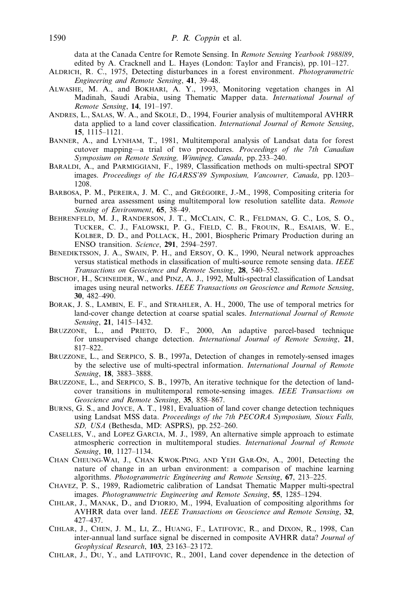data at the Canada Centre for Remote Sensing. In Remote Sensing Yearbook 1988/89, edited by A. Cracknell and L. Hayes (London: Taylor and Francis), pp. 101–127.

- ALDRICH, R. C., 1975, Detecting disturbances in a forest environment. Photogrammetric Engineering and Remote Sensing, 41, 39–48.
- ALWASHE, M. A., and BOKHARI, A. Y., 1993, Monitoring vegetation changes in Al Madinah, Saudi Arabia, using Thematic Mapper data. International Journal of Remote Sensing, 14, 191–197.
- ANDRES, L., SALAS, W. A., and SKOLE, D., 1994, Fourier analysis of multitemporal AVHRR data applied to a land cover classification. International Journal of Remote Sensing, 15, 1115–1121.
- BANNER, A., and LYNHAM, T., 1981, Multitemporal analysis of Landsat data for forest cutover mapping—a trial of two procedures. Proceedings of the 7th Canadian Symposium on Remote Sensing, Winnipeg, Canada, pp. 233–240.
- BARALDI, A., and PARMIGGIANI, F., 1989, Classification methods on multi-spectral SPOT images. Proceedings of the IGARSS'89 Symposium, Vancouver, Canada, pp. 1203– 1208.
- BARBOSA, P. M., PEREIRA, J. M. C., and GRÉGOIRE, J.-M., 1998, Compositing criteria for burned area assessment using multitemporal low resolution satellite data. Remote Sensing of Environment, 65, 38–49.
- BEHRENFELD, M. J., RANDERSON, J. T., MCCLAIN, C. R., FELDMAN, G. C., LOS, S. O., TUCKER, C. J., FALOWSKI, P. G., FIELD, C. B., FROUIN, R., ESAIAIS, W. E., KOLBER, D. D., and POLLACK, H., 2001, Biospheric Primary Production during an ENSO transition. Science, 291, 2594–2597.
- BENEDIKTSSON, J. A., SWAIN, P. H., and ERSOY, O. K., 1990, Neural network approaches versus statistical methods in classification of multi-source remote sensing data. IEEE Transactions on Geoscience and Remote Sensing, 28, 540–552.
- BISCHOF, H., SCHNEIDER, W., and PINZ, A. J., 1992, Multi-spectral classification of Landsat images using neural networks. IEEE Transactions on Geoscience and Remote Sensing, 30, 482–490.
- BORAK, J. S., LAMBIN, E. F., and STRAHLER, A. H., 2000, The use of temporal metrics for land-cover change detection at coarse spatial scales. International Journal of Remote Sensing, 21, 1415–1432.
- BRUZZONE, L., and PRIETO, D. F., 2000, An adaptive parcel-based technique for unsupervised change detection. International Journal of Remote Sensing, 21, 817–822.
- BRUZZONE, L., and SERPICO, S. B., 1997a, Detection of changes in remotely-sensed images by the selective use of multi-spectral information. International Journal of Remote Sensing, 18, 3883–3888.
- BRUZZONE, L., and SERPICO, S. B., 1997b, An iterative technique for the detection of landcover transitions in multitemporal remote-sensing images. IEEE Transactions on Geoscience and Remote Sensing, 35, 858–867.
- BURNS, G. S., and JOYCE, A. T., 1981, Evaluation of land cover change detection techniques using Landsat MSS data. Proceedings of the 7th PECORA Symposium, Sioux Falls, SD, USA (Bethesda, MD: ASPRS), pp. 252–260.
- CASELLES, V., and LOPEZ GARCIA, M. J., 1989, An alternative simple approach to estimate atmospheric correction in multitemporal studies. International Journal of Remote Sensing, 10, 1127–1134.
- CHAN CHEUNG-WAI, J., CHAN KWOK-PING, AND YEH GAR-ON, A., 2001, Detecting the nature of change in an urban environment: a comparison of machine learning algorithms. Photogrammetric Engineering and Remote Sensing, 67, 213–225.
- CHAVEZ, P. S., 1989, Radiometric calibration of Landsat Thematic Mapper multi-spectral images. Photogrammetric Engineering and Remote Sensing, 55, 1285–1294.
- CIHLAR, J., MANAK, D., and D'IORIO, M., 1994, Evaluation of compositing algorithms for AVHRR data over land. IEEE Transactions on Geoscience and Remote Sensing, 32, 427–437.
- CIHLAR, J., CHEN, J. M., LI, Z., HUANG, F., LATIFOVIC, R., and DIXON, R., 1998, Can inter-annual land surface signal be discerned in composite AVHRR data? Journal of Geophysical Research, 103, 23 163–23 172.
- CIHLAR, J., DU, Y., and LATIFOVIC, R., 2001, Land cover dependence in the detection of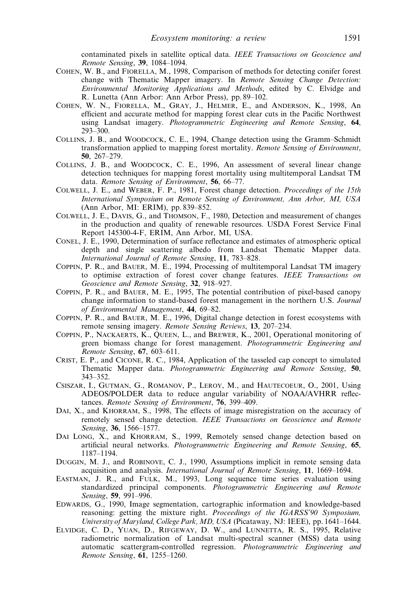contaminated pixels in satellite optical data. IEEE Transactions on Geoscience and Remote Sensing, 39, 1084–1094.

- COHEN, W. B., and FIORELLA, M., 1998, Comparison of methods for detecting conifer forest change with Thematic Mapper imagery. In Remote Sensing Change Detection: Environmental Monitoring Applications and Methods, edited by C. Elvidge and R. Lunetta (Ann Arbor: Ann Arbor Press), pp. 89–102.
- COHEN, W. N., FIORELLA, M., GRAY, J., HELMER, E., and ANDERSON, K., 1998, An efficient and accurate method for mapping forest clear cuts in the Pacific Northwest using Landsat imagery. Photogrammetric Engineering and Remote Sensing, 64, 293–300.
- COLLINS, J. B., and WOODCOCK, C. E., 1994, Change detection using the Gramm–Schmidt transformation applied to mapping forest mortality. Remote Sensing of Environment, 50, 267–279.
- COLLINS, J. B., and WOODCOCK, C. E., 1996, An assessment of several linear change detection techniques for mapping forest mortality using multitemporal Landsat TM data. Remote Sensing of Environment, 56, 66-77.
- COLWELL, J. E., and WEBER, F. P., 1981, Forest change detection. Proceedings of the 15th International Symposium on Remote Sensing of Environment, Ann Arbor, MI, USA (Ann Arbor, MI: ERIM), pp. 839–852.
- COLWELL, J. E., DAVIS, G., and THOMSON, F., 1980, Detection and measurement of changes in the production and quality of renewable resources. USDA Forest Service Final Report 145300-4-F, ERIM, Ann Arbor, MI, USA.
- CONEL, J. E., 1990, Determination of surface reflectance and estimates of atmospheric optical depth and single scattering albedo from Landsat Thematic Mapper data. International Journal of Remote Sensing, 11, 783–828.
- COPPIN, P. R., and BAUER, M. E., 1994, Processing of multitemporal Landsat TM imagery to optimise extraction of forest cover change features. IEEE Transactions on Geoscience and Remote Sensing, 32, 918–927.
- COPPIN, P. R., and BAUER, M. E., 1995, The potential contribution of pixel-based canopy change information to stand-based forest management in the northern U.S. Journal of Environmental Management, 44, 69–82.
- COPPIN, P. R., and BAUER, M. E., 1996, Digital change detection in forest ecosystems with remote sensing imagery. Remote Sensing Reviews, 13, 207–234.
- COPPIN, P., NACKAERTS, K., QUEEN, L., and BREWER, K., 2001, Operational monitoring of green biomass change for forest management. Photogrammetric Engineering and Remote Sensing, 67, 603–611.
- CRIST, E. P., and CICONE, R. C., 1984, Application of the tasseled cap concept to simulated Thematic Mapper data. Photogrammetric Engineering and Remote Sensing, 50, 343–352.
- CSISZAR, I., GUTMAN, G., ROMANOV, P., LEROY, M., and HAUTECOEUR, O., 2001, Using ADEOS/POLDER data to reduce angular variability of NOAA/AVHRR reflectances. Remote Sensing of Environment, 76, 399-409.
- DAI, X., and KHORRAM, S., 1998, The effects of image misregistration on the accuracy of remotely sensed change detection. IEEE Transactions on Geoscience and Remote Sensing, 36, 1566–1577.
- DAI LONG, X., and KHORRAM, S., 1999, Remotely sensed change detection based on artificial neural networks. Photogrammetric Engineering and Remote Sensing, 65, 1187–1194.
- DUGGIN, M. J., and ROBINOVE, C. J., 1990, Assumptions implicit in remote sensing data acquisition and analysis. International Journal of Remote Sensing, 11, 1669–1694.
- EASTMAN, J. R., and FULK, M., 1993, Long sequence time series evaluation using standardized principal components. Photogrammetric Engineering and Remote Sensing, 59, 991–996.
- EDWARDS, G., 1990, Image segmentation, cartographic information and knowledge-based reasoning: getting the mixture right. Proceedings of the IGARSS'90 Symposium, University of Maryland, College Park, MD, USA (Picataway, NJ: IEEE), pp. 1641-1644.
- ELVIDGE, C. D., YUAN, D., RIFGEWAY, D. W., and LUNNETTA, R. S., 1995, Relative radiometric normalization of Landsat multi-spectral scanner (MSS) data using automatic scattergram-controlled regression. Photogrammetric Engineering and Remote Sensing, 61, 1255–1260.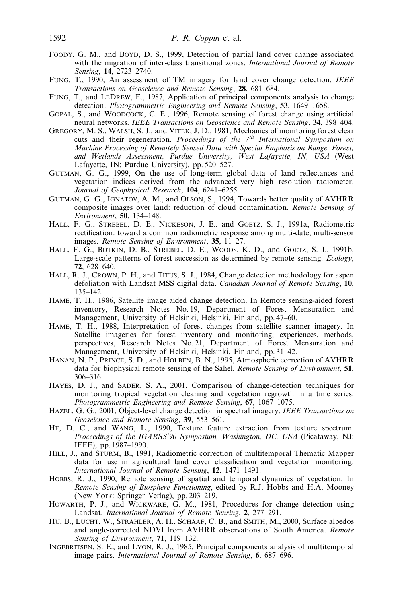- FOODY, G. M., and BOYD, D. S., 1999, Detection of partial land cover change associated with the migration of inter-class transitional zones. International Journal of Remote Sensing, 14, 2723–2740.
- FUNG, T., 1990, An assessment of TM imagery for land cover change detection. IEEE Transactions on Geoscience and Remote Sensing, 28, 681–684.
- FUNG, T., and LEDREW, E., 1987, Application of principal components analysis to change detection. Photogrammetric Engineering and Remote Sensing, 53, 1649–1658.
- GOPAL, S., and WOODCOCK, C. E., 1996, Remote sensing of forest change using artificial neural networks. IEEE Transactions on Geoscience and Remote Sensing, 34, 398–404.
- GREGORY, M. S., WALSH, S. J., and VITEK, J. D., 1981, Mechanics of monitoring forest clear cuts and their regeneration. Proceedings of the  $7<sup>th</sup>$  International Symposium on Machine Processing of Remotely Sensed Data with Special Emphasis on Range, Forest, and Wetlands Assessment, Purdue University, West Lafayette, IN, USA (West Lafayette, IN: Purdue University), pp. 520–527.
- GUTMAN, G. G., 1999, On the use of long-term global data of land reflectances and vegetation indices derived from the advanced very high resolution radiometer. Journal of Geophysical Research, 104, 6241–6255.
- GUTMAN, G. G., IGNATOV, A. M., and OLSON, S., 1994, Towards better quality of AVHRR composite images over land: reduction of cloud contamination. Remote Sensing of Environment, 50, 134–148.
- HALL, F. G., STREBEL, D. E., NICKESON, J. E., and GOETZ, S. J., 1991a, Radiometric rectification: toward a common radiometric response among multi-date, multi-sensor images. Remote Sensing of Environment, 35,  $11-27$ .
- HALL, F. G., BOTKIN, D. B., STREBEL, D. E., WOODS, K. D., and GOETZ, S. J., 1991b, Large-scale patterns of forest succession as determined by remote sensing. Ecology, 72, 628–640.
- HALL, R. J., CROWN, P. H., and TITUS, S. J., 1984, Change detection methodology for aspen defoliation with Landsat MSS digital data. Canadian Journal of Remote Sensing, 10, 135–142.
- HAME, T. H., 1986, Satellite image aided change detection. In Remote sensing-aided forest inventory, Research Notes No. 19, Department of Forest Mensuration and Management, University of Helsinki, Helsinki, Finland, pp. 47–60.
- HAME, T. H., 1988, Interpretation of forest changes from satellite scanner imagery. In Satellite imageries for forest inventory and monitoring; experiences, methods, perspectives, Research Notes No. 21, Department of Forest Mensuration and Management, University of Helsinki, Helsinki, Finland, pp. 31–42.
- HANAN, N. P., PRINCE, S. D., and HOLBEN, B. N., 1995, Atmospheric correction of AVHRR data for biophysical remote sensing of the Sahel. Remote Sensing of Environment, 51, 306–316.
- HAYES, D. J., and SADER, S. A., 2001, Comparison of change-detection techniques for monitoring tropical vegetation clearing and vegetation regrowth in a time series. Photogrammetric Engineering and Remote Sensing, 67, 1067–1075.
- HAZEL, G. G., 2001, Object-level change detection in spectral imagery. IEEE Transactions on Geoscience and Remote Sensing, 39, 553–561.
- HE, D. C., and WANG, L., 1990, Texture feature extraction from texture spectrum. Proceedings of the IGARSS'90 Symposium, Washington, DC, USA (Picataway, NJ: IEEE), pp. 1987–1990.
- HILL, J., and STURM, B., 1991, Radiometric correction of multitemporal Thematic Mapper data for use in agricultural land cover classification and vegetation monitoring. International Journal of Remote Sensing, 12, 1471–1491.
- HOBBS, R. J., 1990, Remote sensing of spatial and temporal dynamics of vegetation. In Remote Sensing of Biosphere Functioning, edited by R.J. Hobbs and H.A. Mooney (New York: Springer Verlag), pp. 203–219.
- HOWARTH, P. J., and WICKWARE, G. M., 1981, Procedures for change detection using Landsat. International Journal of Remote Sensing, 2, 277–291.
- HU, B., LUCHT, W., STRAHLER, A. H., SCHAAF, C. B., and SMITH, M., 2000, Surface albedos and angle-corrected NDVI from AVHRR observations of South America. Remote Sensing of Environment, 71, 119-132.
- INGEBRITSEN, S. E., and LYON, R. J., 1985, Principal components analysis of multitemporal image pairs. International Journal of Remote Sensing, 6, 687–696.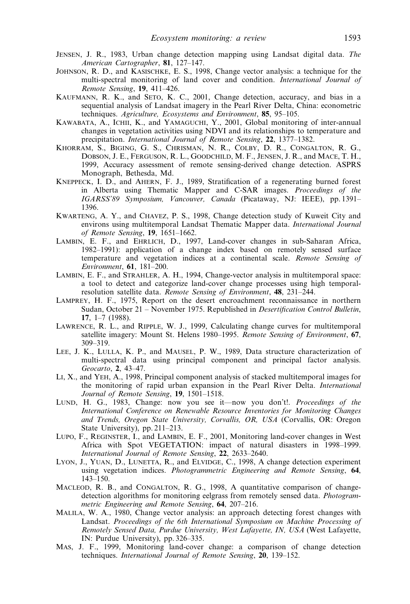- JENSEN, J. R., 1983, Urban change detection mapping using Landsat digital data. The American Cartographer, 81, 127–147.
- JOHNSON, R. D., and KASISCHKE, E. S., 1998, Change vector analysis: a technique for the multi-spectral monitoring of land cover and condition. International Journal of Remote Sensing, 19, 411–426.
- KAUFMANN, R. K., and SETO, K. C., 2001, Change detection, accuracy, and bias in a sequential analysis of Landsat imagery in the Pearl River Delta, China: econometric techniques. Agriculture, Ecosystems and Environment, 85, 95–105.
- KAWABATA, A., ICHII, K., and YAMAGUCHI, Y., 2001, Global monitoring of inter-annual changes in vegetation activities using NDVI and its relationships to temperature and precipitation. International Journal of Remote Sensing, 22, 1377-1382.
- KHORRAM, S., BIGING, G. S., CHRISMAN, N. R., COLBY, D. R., CONGALTON, R. G., DOBSON, J. E., FERGUSON, R. L., GOODCHILD, M. F., JENSEN, J. R., and MACE, T. H., 1999, Accuracy assessment of remote sensing-derived change detection. ASPRS Monograph, Bethesda, Md.
- KNEPPECK, I. D., and AHERN, F. J., 1989, Stratification of a regenerating burned forest in Alberta using Thematic Mapper and C-SAR images. Proceedings of the IGARSS'89 Symposium, Vancouver, Canada (Picataway, NJ: IEEE), pp. 1391– 1396.
- KWARTENG, A. Y., and CHAVEZ, P. S., 1998, Change detection study of Kuweit City and environs using multitemporal Landsat Thematic Mapper data. International Journal of Remote Sensing, 19, 1651–1662.
- LAMBIN, E. F., and EHRLICH, D., 1997, Land-cover changes in sub-Saharan Africa, 1982–1991): application of a change index based on remotely sensed surface temperature and vegetation indices at a continental scale. Remote Sensing of Environment, 61, 181–200.
- LAMBIN, E. F., and STRAHLER, A. H., 1994, Change-vector analysis in multitemporal space: a tool to detect and categorize land-cover change processes using high temporalresolution satellite data. Remote Sensing of Environment, 48, 231–244.
- LAMPREY, H. F., 1975, Report on the desert encroachment reconnaissance in northern Sudan, October 21 – November 1975. Republished in Desertification Control Bulletin, 17, 1–7 (1988).
- LAWRENCE, R. L., and RIPPLE, W. J., 1999, Calculating change curves for multitemporal satellite imagery: Mount St. Helens 1980–1995. Remote Sensing of Environment, 67, 309–319.
- LEE, J. K., LULLA, K. P., and MAUSEL, P. W., 1989, Data structure characterization of multi-spectral data using principal component and principal factor analysis. Geocarto, 2, 43–47.
- LI, X., and YEH, A., 1998, Principal component analysis of stacked multitemporal images for the monitoring of rapid urban expansion in the Pearl River Delta. International Journal of Remote Sensing, 19, 1501–1518.
- LUND, H. G., 1983, Change: now you see it—now you don't!. Proceedings of the International Conference on Renewable Resource Inventories for Monitoring Changes and Trends, Oregon State University, Corvallis, OR, USA (Corvallis, OR: Oregon State University), pp. 211–213.
- LUPO, F., REGINSTER, I., and LAMBIN, E. F., 2001, Monitoring land-cover changes in West Africa with Spot VEGETATION: impact of natural disasters in 1998–1999. International Journal of Remote Sensing, 22, 2633–2640.
- LYON, J., YUAN, D., LUNETTA, R., and ELVIDGE, C., 1998, A change detection experiment using vegetation indices. Photogrammetric Engineering and Remote Sensing, 64, 143–150.
- MACLEOD, R. B., and CONGALTON, R. G., 1998, A quantitative comparison of changedetection algorithms for monitoring eelgrass from remotely sensed data. Photogrammetric Engineering and Remote Sensing, 64, 207–216.
- MALILA, W. A., 1980, Change vector analysis: an approach detecting forest changes with Landsat. Proceedings of the 6th International Symposium on Machine Processing of Remotely Sensed Data, Purdue University, West Lafayette, IN, USA (West Lafayette, IN: Purdue University), pp. 326–335.
- MAS, J. F., 1999, Monitoring land-cover change: a comparison of change detection techniques. International Journal of Remote Sensing, 20, 139-152.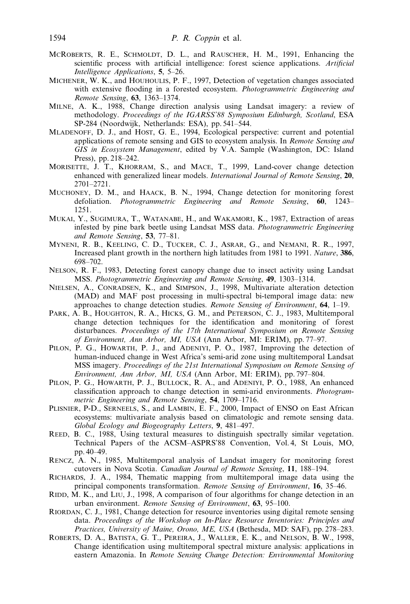- MCROBERTS, R. E., SCHMOLDT, D. L., and RAUSCHER, H. M., 1991, Enhancing the scientific process with artificial intelligence: forest science applications. Artificial Intelligence Applications, 5, 5–26.
- MICHENER, W. K., and HOUHOULIS, P. F., 1997, Detection of vegetation changes associated with extensive flooding in a forested ecosystem. *Photogrammetric Engineering and* Remote Sensing, 63, 1363–1374.
- MILNE, A. K., 1988, Change direction analysis using Landsat imagery: a review of methodology. Proceedings of the IGARSS'88 Symposium Edinburgh, Scotland, ESA SP-284 (Noordwijk, Netherlands: ESA), pp. 541–544.
- MLADENOFF, D. J., and HOST, G. E., 1994, Ecological perspective: current and potential applications of remote sensing and GIS to ecosystem analysis. In Remote Sensing and GIS in Ecosystem Management, edited by V.A. Sample (Washington, DC: Island Press), pp. 218–242.
- MORISETTE, J. T., KHORRAM, S., and MACE, T., 1999, Land-cover change detection enhanced with generalized linear models. International Journal of Remote Sensing, 20, 2701–2721.
- MUCHONEY, D. M., and HAACK, B. N., 1994, Change detection for monitoring forest defoliation. Photogrammetric Engineering and Remote Sensing, 60, 1243– 1251.
- MUKAI, Y., SUGIMURA, T., WATANABE, H., and WAKAMORI, K., 1987, Extraction of areas infested by pine bark beetle using Landsat MSS data. Photogrammetric Engineering and Remote Sensing, 53, 77–81.
- MYNENI, R. B., KEELING, C. D., TUCKER, C. J., ASRAR, G., and NEMANI, R. R., 1997, Increased plant growth in the northern high latitudes from 1981 to 1991. Nature, 386, 698–702.
- NELSON, R. F., 1983, Detecting forest canopy change due to insect activity using Landsat MSS. Photogrammetric Engineering and Remote Sensing, 49, 1303–1314.
- NIELSEN, A., CONRADSEN, K., and SIMPSON, J., 1998, Multivariate alteration detection (MAD) and MAF post processing in multi-spectral bi-temporal image data: new approaches to change detection studies. Remote Sensing of Environment,  $64$ , 1–19.
- PARK, A. B., HOUGHTON, R. A., HICKS, G. M., and PETERSON, C. J., 1983, Multitemporal change detection techniques for the identification and monitoring of forest disturbances. Proceedings of the 17th International Symposium on Remote Sensing of Environment, Ann Arbor, MI, USA (Ann Arbor, MI: ERIM), pp. 77–97.
- PILON, P. G., HOWARTH, P. J., and ADENIYI, P. O., 1987, Improving the detection of human-induced change in West Africa's semi-arid zone using multitemporal Landsat MSS imagery. Proceedings of the 21st International Symposium on Remote Sensing of Environment, Ann Arbor, MI, USA (Ann Arbor, MI: ERIM), pp. 797–804.
- PILON, P. G., HOWARTH, P. J., BULLOCK, R. A., and ADENIYI, P. O., 1988, An enhanced classification approach to change detection in semi-arid environments. Photogrammetric Engineering and Remote Sensing, 54, 1709-1716.
- PLISNIER, P-D., SERNEELS, S., and LAMBIN, E. F., 2000, Impact of ENSO on East African ecosystems: multivariate analysis based on climatologic and remote sensing data. Global Ecology and Biogeography Letters, 9, 481–497.
- REED, B. C., 1988, Using textural measures to distinguish spectrally similar vegetation. Technical Papers of the ACSM–ASPRS'88 Convention, Vol. 4, St Louis, MO, pp. 40–49.
- RENCZ, A. N., 1985, Multitemporal analysis of Landsat imagery for monitoring forest cutovers in Nova Scotia. Canadian Journal of Remote Sensing, 11, 188–194.
- RICHARDS, J. A., 1984, Thematic mapping from multitemporal image data using the principal components transformation. Remote Sensing of Environment, 16, 35–46.
- RIDD, M. K., and LIU, J., 1998, A comparison of four algorithms for change detection in an urban environment. Remote Sensing of Environment, 63, 95-100.
- RIORDAN, C. J., 1981, Change detection for resource inventories using digital remote sensing data. Proceedings of the Workshop on In-Place Resource Inventories: Principles and Practices, University of Maine, Orono, ME, USA (Bethesda, MD: SAF), pp. 278–283.
- ROBERTS, D. A., BATISTA, G. T., PEREIRA, J., WALLER, E. K., and NELSON, B. W., 1998, Change identification using multitemporal spectral mixture analysis: applications in eastern Amazonia. In Remote Sensing Change Detection: Environmental Monitoring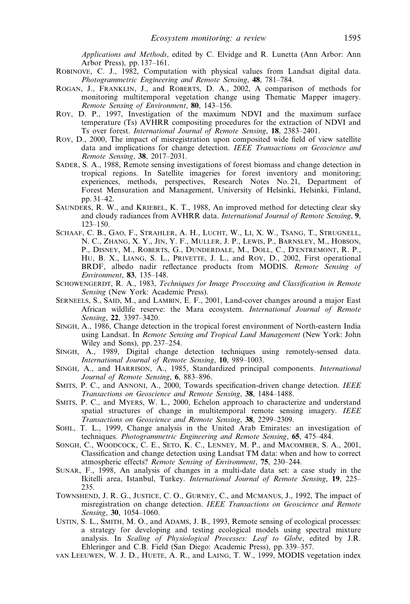Applications and Methods, edited by C. Elvidge and R. Lunetta (Ann Arbor: Ann Arbor Press), pp. 137–161.

- ROBINOVE, C. J., 1982, Computation with physical values from Landsat digital data. Photogrammetric Engineering and Remote Sensing, 48, 781–784.
- ROGAN, J., FRANKLIN, J., and ROBERTS, D. A., 2002, A comparison of methods for monitoring multitemporal vegetation change using Thematic Mapper imagery. Remote Sensing of Environment, 80, 143–156.
- ROY, D. P., 1997, Investigation of the maximum NDVI and the maximum surface temperature (Ts) AVHRR compositing procedures for the extraction of NDVI and Ts over forest. International Journal of Remote Sensing, 18, 2383–2401.
- ROY, D., 2000, The impact of misregistration upon composited wide field of view satellite data and implications for change detection. IEEE Transactions on Geoscience and Remote Sensing, 38, 2017–2031.
- SADER, S. A., 1988, Remote sensing investigations of forest biomass and change detection in tropical regions. In Satellite imageries for forest inventory and monitoring; experiences, methods, perspectives, Research Notes No. 21, Department of Forest Mensuration and Management, University of Helsinki, Helsinki, Finland, pp. 31–42.
- SAUNDERS, R. W., and KRIEBEL, K. T., 1988, An improved method for detecting clear sky and cloudy radiances from AVHRR data. International Journal of Remote Sensing, 9, 123–150.
- SCHAAF, C. B., GAO, F., STRAHLER, A. H., LUCHT, W., LI, X. W., TSANG, T., STRUGNELL, N. C., ZHANG, X. Y., JIN, Y. F., MULLER, J. P., LEWIS, P., BARNSLEY, M., HOBSON, P., DISNEY, M., ROBERTS, G., DUNDERDALE, M., DOLL, C., D'ENTREMONT, R. P., HU, B. X., LIANG, S. L., PRIVETTE, J. L., and ROY, D., 2002, First operational BRDF, albedo nadir reflectance products from MODIS. Remote Sensing of Environment, 83, 135–148.
- SCHOWENGERDT, R. A., 1983, Techniques for Image Processing and Classification in Remote Sensing (New York: Academic Press).
- SERNEELS, S., SAID, M., and LAMBIN, E. F., 2001, Land-cover changes around a major East African wildlife reserve: the Mara ecosystem. International Journal of Remote Sensing, 22, 3397–3420.
- SINGH, A., 1986, Change detection in the tropical forest environment of North-eastern India using Landsat. In Remote Sensing and Tropical Land Management (New York: John Wiley and Sons), pp. 237–254.
- SINGH, A., 1989, Digital change detection techniques using remotely-sensed data. International Journal of Remote Sensing, 10, 989–1003.
- SINGH, A., and HARRISON, A., 1985, Standardized principal components. International Journal of Remote Sensing, 6, 883–896.
- SMITS, P. C., and ANNONI, A., 2000, Towards specification-driven change detection. IEEE Transactions on Geoscience and Remote Sensing, 38, 1484–1488.
- SMITS, P. C., and MYERS, W. L., 2000, Echelon approach to characterize and understand spatial structures of change in multitemporal remote sensing imagery. IEEE Transactions on Geoscience and Remote Sensing, 38, 2299–2309.
- SOHL, T. L., 1999, Change analysis in the United Arab Emirates: an investigation of techniques. Photogrammetric Engineering and Remote Sensing, 65, 475–484.
- SONGH, C., WOODCOCK, C. E., SETO, K. C., LENNEY, M. P., and MACOMBER, S. A., 2001, Classification and change detection using Landsat TM data: when and how to correct atmospheric effects? Remote Sensing of Environment, 75, 230–244.
- SUNAR, F., 1998, An analysis of changes in a multi-date data set: a case study in the Ikitelli area, Istanbul, Turkey. International Journal of Remote Sensing, 19, 225– 235.
- TOWNSHEND, J. R. G., JUSTICE, C. O., GURNEY, C., and MCMANUS, J., 1992, The impact of misregistration on change detection. IEEE Transactions on Geoscience and Remote Sensing, 30, 1054–1060.
- USTIN, S. L., SMITH, M. O., and ADAMS, J. B., 1993, Remote sensing of ecological processes: a strategy for developing and testing ecological models using spectral mixture analysis. In Scaling of Physiological Processes: Leaf to Globe, edited by J.R. Ehleringer and C.B. Field (San Diego: Academic Press), pp. 339–357.
- vAN LEEUWEN, W. J. D., HUETE, A. R., and LAING, T. W., 1999, MODIS vegetation index